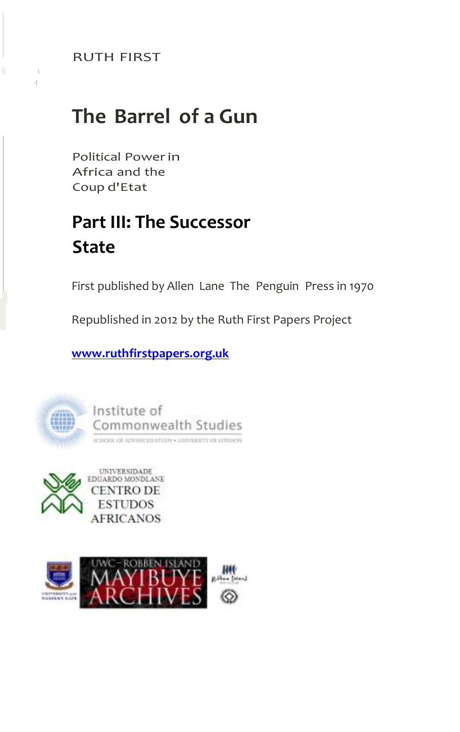RUTH FIRST

I -1

# **The Barrel of a Gun**

Political Powerin Africa and the Coup d'Etat

# **Part III: The Successor State**

First published by Allen Lane The Penguin Press in 1970

Republished in 2012 by the Ruth First Papers Project

**[www.ruthfirstpapers.org.uk](http://www.ruthfirstpapers.org.uk/)**





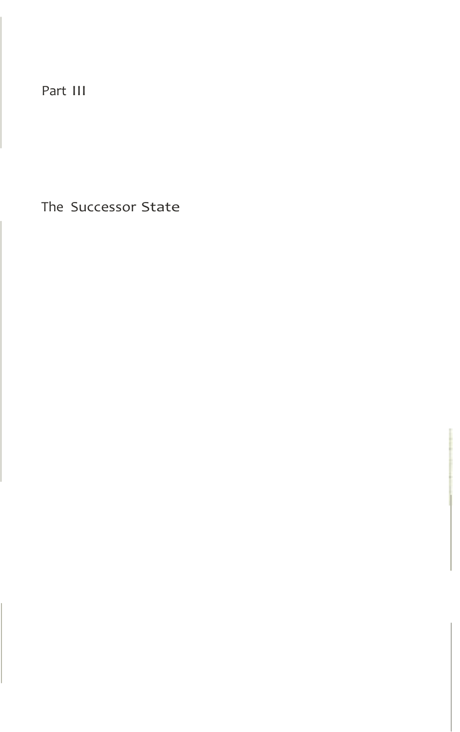Part III

The Successor State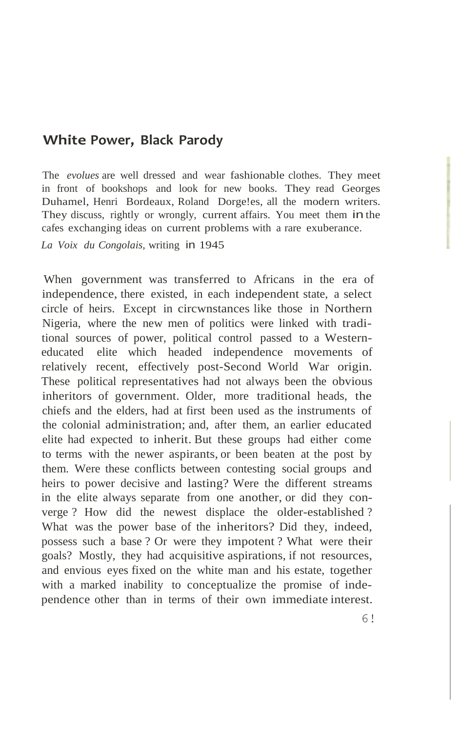# **White Power, Black Parody**

The *evolues* are well dressed and wear fashionable clothes. They meet in front of bookshops and look for new books. They read Georges Duhamel, Henri Bordeaux, Roland Dorge!es, all the modern writers. They discuss, rightly or wrongly, current affairs. You meet them in the cafes exchanging ideas on current problems with a rare exuberance.

*La Voix du Congolais,* writing in 1945

When government was transferred to Africans in the era of independence, there existed, in each independent state, a select circle of heirs. Except in circwnstances like those in Northern Nigeria, where the new men of politics were linked with traditional sources of power, political control passed to a Westerneducated elite which headed independence movements of relatively recent, effectively post-Second World War origin. These political representatives had not always been the obvious inheritors of government. Older, more traditional heads, the chiefs and the elders, had at first been used as the instruments of the colonial administration; and, after them, an earlier educated elite had expected to inherit. But these groups had either come to terms with the newer aspirants, or been beaten at the post by them. Were these conflicts between contesting social groups and heirs to power decisive and lasting? Were the different streams in the elite always separate from one another, or did they converge ? How did the newest displace the older-established ? What was the power base of the inheritors? Did they, indeed, possess such a base ? Or were they impotent ? What were their goals? Mostly, they had acquisitive aspirations, if not resources, and envious eyes fixed on the white man and his estate, together with a marked inability to conceptualize the promise of independence other than in terms of their own immediate interest.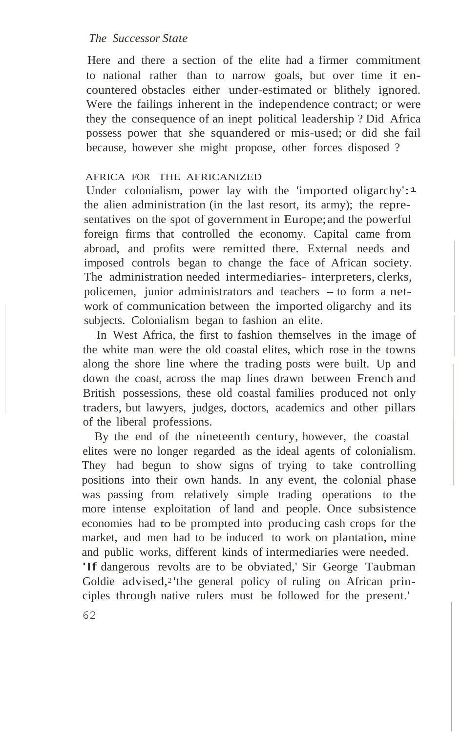Here and there a section of the elite had a firmer commitment to national rather than to narrow goals, but over time it encountered obstacles either under-estimated or blithely ignored. Were the failings inherent in the independence contract; or were they the consequence of an inept political leadership ? Did Africa possess power that she squandered or mis-used; or did she fail because, however she might propose, other forces disposed ?

## AFRICA FOR THE AFRICANIZED

Under colonialism, power lay with the 'imported oligarchy': 1 the alien administration (in the last resort, its army); the representatives on the spot of government in Europe;and the powerful foreign firms that controlled the economy. Capital came from abroad, and profits were remitted there. External needs and imposed controls began to change the face of African society. The administration needed intermediaries- interpreters, clerks, policemen, junior administrators and teachers - to form a network of communication between the imported oligarchy and its subjects. Colonialism began to fashion an elite.

In West Africa, the first to fashion themselves in the image of the white man were the old coastal elites, which rose in the towns along the shore line where the trading posts were built. Up and down the coast, across the map lines drawn between French and British possessions, these old coastal families produced not only traders, but lawyers, judges, doctors, academics and other pillars of the liberal professions.

By the end of the nineteenth century, however, the coastal elites were no longer regarded as the ideal agents of colonialism. They had begun to show signs of trying to take controlling positions into their own hands. In any event, the colonial phase was passing from relatively simple trading operations to the more intense exploitation of land and people. Once subsistence economies had to be prompted into producing cash crops for the market, and men had to be induced to work on plantation, mine and public works, different kinds of intermediaries were needed.

'If dangerous revolts are to be obviated,' Sir George Taubman Goldie advised,<sup>2</sup>'the general policy of ruling on African principles through native rulers must be followed for the present.'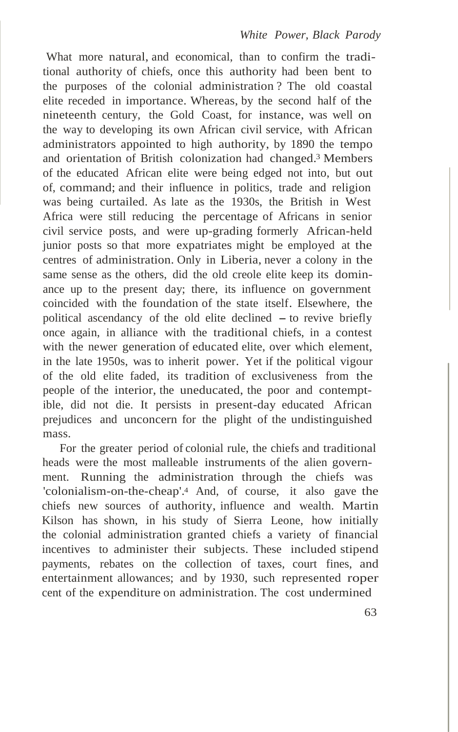What more natural, and economical, than to confirm the traditional authority of chiefs, once this authority had been bent to the purposes of the colonial administration ? The old coastal elite receded in importance. Whereas, by the second half of the nineteenth century, the Gold Coast, for instance, was well on the way to developing its own African civil service, with African administrators appointed to high authority, by 1890 the tempo and orientation of British colonization had changed. <sup>3</sup> Members of the educated African elite were being edged not into, but out of, command; and their influence in politics, trade and religion was being curtailed. As late as the 1930s, the British in West Africa were still reducing the percentage of Africans in senior civil service posts, and were up-grading formerly African-held junior posts so that more expatriates might be employed at the centres of administration. Only in Liberia, never a colony in the same sense as the others, did the old creole elite keep its dominance up to the present day; there, its influence on government coincided with the foundation of the state itself. Elsewhere, the political ascendancy of the old elite declined – to revive briefly once again, in alliance with the traditional chiefs, in a contest with the newer generation of educated elite, over which element, in the late 1950s, was to inherit power. Yet if the political vigour of the old elite faded, its tradition of exclusiveness from the people of the interior, the uneducated, the poor and contemptible, did not die. It persists in present-day educated African prejudices and unconcern for the plight of the undistinguished mass.

For the greater period of colonial rule, the chiefs and traditional heads were the most malleable instruments of the alien government. Running the administration through the chiefs was 'colonialism-on-the-cheap'.<sup>4</sup> And, of course, it also gave the chiefs new sources of authority, influence and wealth. Martin Kilson has shown, in his study of Sierra Leone, how initially the colonial administration granted chiefs a variety of financial incentives to administer their subjects. These included stipend payments, rebates on the collection of taxes, court fines, and entertainment allowances; and by 1930, such represented roper cent of the expenditure on administration. The cost undermined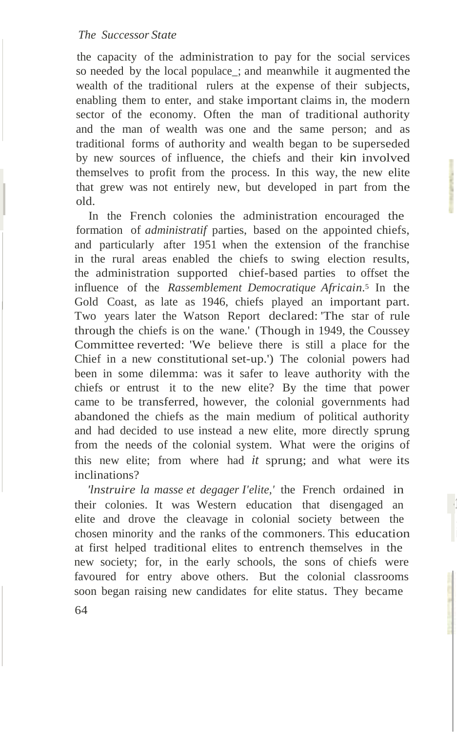the capacity of the administration to pay for the social services so needed by the local populace; and meanwhile it augmented the wealth of the traditional rulers at the expense of their subjects, enabling them to enter, and stake important claims in, the modern sector of the economy. Often the man of traditional authority and the man of wealth was one and the same person; and as traditional forms of authority and wealth began to be superseded by new sources of influence, the chiefs and their kin involved themselves to profit from the process. In this way, the new elite that grew was not entirely new, but developed in part from the old.

In the French colonies the administration encouraged the formation of *administratif* parties, based on the appointed chiefs, and particularly after 1951 when the extension of the franchise in the rural areas enabled the chiefs to swing election results, the administration supported chief-based parties to offset the influence of the *Rassemblement Democratique Africain.* <sup>5</sup>In the Gold Coast, as late as 1946, chiefs played an important part. Two years later the Watson Report declared: 'The star of rule through the chiefs is on the wane.' (Though in 1949, the Coussey Committee reverted: 'We believe there is still a place for the Chief in a new constitutional set-up.') The colonial powers had been in some dilemma: was it safer to leave authority with the chiefs or entrust it to the new elite? By the time that power came to be transferred, however, the colonial governments had abandoned the chiefs as the main medium of political authority and had decided to use instead a new elite, more directly sprung from the needs of the colonial system. What were the origins of this new elite; from where had *it* sprung; and what were its inclinations?

*'lnstruire la masse et degager I'elite,'* the French ordained in their colonies. It was Western education that disengaged an elite and drove the cleavage in colonial society between the chosen minority and the ranks of the commoners. This education i at first helped traditional elites to entrench themselves in the new society; for, in the early schools, the sons of chiefs were favoured for entry above others. But the colonial classrooms soon began raising new candidates for elite status. They became

64

I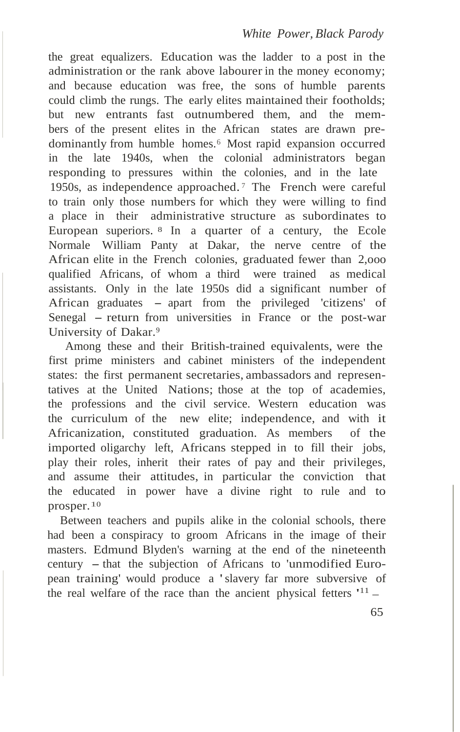the great equalizers. Education was the ladder to a post in the administration or the rank above labourer in the money economy; and because education was free, the sons of humble parents could climb the rungs. The early elites maintained their footholds; but new entrants fast outnumbered them, and the members of the present elites in the African states are drawn predominantly from humble homes.<sup>6</sup> Most rapid expansion occurred in the late 1940s, when the colonial administrators began responding to pressures within the colonies, and in the late 1950s, as independence approached. <sup>7</sup>The French were careful to train only those numbers for which they were willing to find a place in their administrative structure as subordinates to European superiors. <sup>8</sup> In a quarter of a century, the Ecole Normale William Panty at Dakar, the nerve centre of the African elite in the French colonies, graduated fewer than 2,ooo qualified Africans, of whom a third were trained as medical assistants. Only in the late 1950s did a significant number of African graduates - apart from the privileged 'citizens' of Senegal – return from universities in France or the post-war University of Dakar. 9

Among these and their British-trained equivalents, were the first prime ministers and cabinet ministers of the independent states: the first permanent secretaries, ambassadors and representatives at the United Nations; those at the top of academies, the professions and the civil service. Western education was the curriculum of the new elite; independence, and with it Africanization, constituted graduation. As members of the imported oligarchy left, Africans stepped in to fill their jobs, play their roles, inherit their rates of pay and their privileges, and assume their attitudes, in particular the conviction that the educated in power have a divine right to rule and to prosper. 10

Between teachers and pupils alike in the colonial schools, there had been a conspiracy to groom Africans in the image of their masters. Edmund Blyden's warning at the end of the nineteenth century - that the subjection of Africans to 'unmodified European training' would produce a 'slavery far more subversive of pean training would produce a slavery far more subversive of the real welfare of the race than the ancient physical fetters '<sup>11</sup>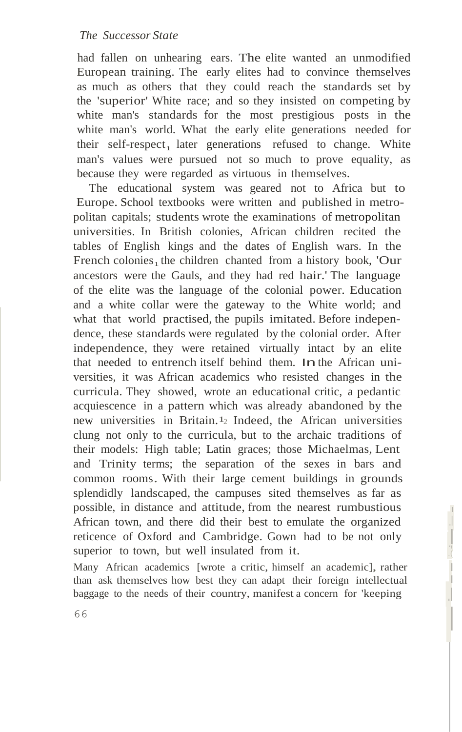had fallen on unhearing ears. The elite wanted an unmodified European training. The early elites had to convince themselves as much as others that they could reach the standards set by the 'superior' White race; and so they insisted on competing by white man's standards for the most prestigious posts in the white man's world. What the early elite generations needed for their self-respect, later generations refused to change. White man's values were pursued not so much to prove equality, as because they were regarded as virtuous in themselves.

The educational system was geared not to Africa but to Europe. School textbooks were written and published in metropolitan capitals; students wrote the examinations of metropolitan universities. In British colonies, African children recited the tables of English kings and the dates of English wars. In the French colonies<sub>1</sub> the children chanted from a history book, 'Our ancestors were the Gauls, and they had red hair.' The language of the elite was the language of the colonial power. Education and a white collar were the gateway to the White world; and what that world practised, the pupils imitated. Before independence, these standards were regulated by the colonial order. After independence, they were retained virtually intact by an elite that needed to entrench itself behind them. In the African universities, it was African academics who resisted changes in the curricula. They showed, wrote an educational critic, a pedantic acquiescence in a pattern which was already abandoned by the new universities in Britain. 12 Indeed, the African universities clung not only to the curricula, but to the archaic traditions of their models: High table; Latin graces; those Michaelmas, Lent and Trinity terms; the separation of the sexes in bars and common rooms. With their large cement buildings in grounds splendidly landscaped, the campuses sited themselves as far as possible, in distance and attitude, from the nearest rumbustious African town, and there did their best to emulate the organized reticence of Oxford and Cambridge. Gown had to be not only superior to town, but well insulated from it.

Many African academics [wrote a critic, himself an academic], rather than ask themselves how best they can adapt their foreign intellectual baggage to the needs of their country, manifest a concern for 'keeping

I .I .I, .( I I .I

I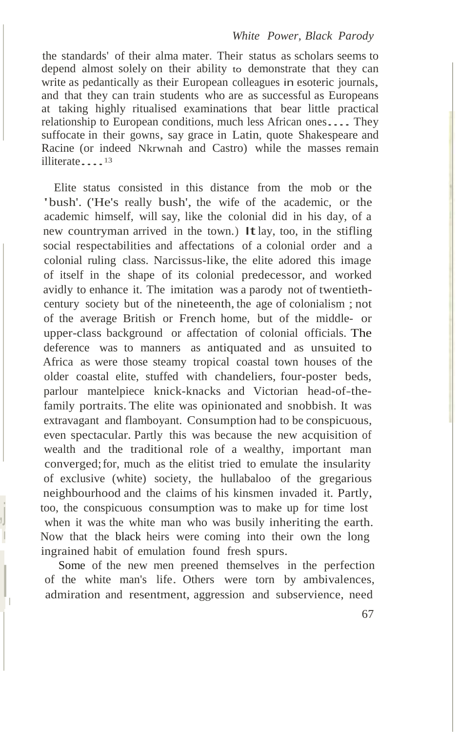the standards' of their alma mater. Their status as scholars seems to depend almost solely on their ability to demonstrate that they can write as pedantically as their European colleagues in esoteric journals, and that they can train students who are as successful as Europeans at taking highly ritualised examinations that bear little practical relationship to European conditions, much less African ones.... They suffocate in their gowns, say grace in Latin, quote Shakespeare and Racine (or indeed Nkrwnah and Castro) while the masses remain Racine (or inc<br>illiterate....<sup>13</sup>

Elite status consisted in this distance from the mob or the 'bush'. ('He's really bush', the wife of the academic, or the academic himself, will say, like the colonial did in his day, of a new countryman arrived in the town.) Itlay, too, in the stifling social respectabilities and affectations of a colonial order and a colonial ruling class. Narcissus-like, the elite adored this image of itself in the shape of its colonial predecessor, and worked avidly to enhance it. The imitation was a parody not of twentiethcentury society but of the nineteenth, the age of colonialism ; not of the average British or French home, but of the middle- or upper-class background or affectation of colonial officials. The deference was to manners as antiquated and as unsuited to Africa as were those steamy tropical coastal town houses of the older coastal elite, stuffed with chandeliers, four-poster beds, parlour mantelpiece knick-knacks and Victorian head-of-thefamily portraits. The elite was opinionated and snobbish. It was extravagant and flamboyant. Consumption had to be conspicuous, even spectacular. Partly this was because the new acquisition of wealth and the traditional role of a wealthy, important man converged;for, much as the elitist tried to emulate the insularity of exclusive (white) society, the hullabaloo of the gregarious neighbourhood and the claims of his kinsmen invaded it. Partly, too, the conspicuous consumption was to make up for time lost when it was the white man who was busily inheriting the earth. Now that the black heirs were coming into their own the long ingrained habit of emulation found fresh spurs.

Some of the new men preened themselves in the perfection of the white man's life. Others were torn by ambivalences, admiration and resentment, aggression and subservience, need

I,

I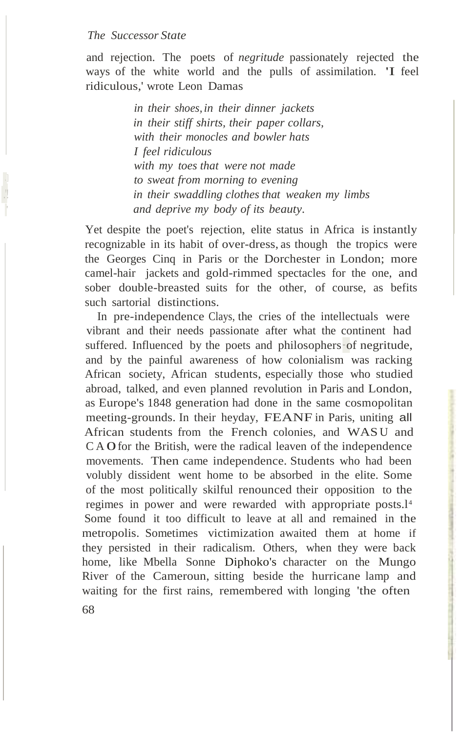.'!

and rejection. The poets of *negritude* passionately rejected the ways of the white world and the pulls of assimilation. 'I feel ridiculous,' wrote Leon Damas

> *in their shoes,in their dinner jackets in their stiff shirts, their paper collars, with their monocles and bowler hats I feel ridiculous with my toes that were not made to sweat from morning to evening in their swaddling clothes that weaken my limbs and deprive my body of its beauty.*

Yet despite the poet's rejection, elite status in Africa is instantly recognizable in its habit of over-dress, as though the tropics were the Georges Cinq in Paris or the Dorchester in London; more camel-hair jackets and gold-rimmed spectacles for the one, and sober double-breasted suits for the other, of course, as befits such sartorial distinctions.

In pre-independence Clays, the cries of the intellectuals were vibrant and their needs passionate after what the continent had suffered. Influenced by the poets and philosophers·of negritude, and by the painful awareness of how colonialism was racking African society, African students, especially those who studied abroad, talked, and even planned revolution in Paris and London, as Europe's 1848 generation had done in the same cosmopolitan meeting-grounds. In their heyday, FEANF in Paris, uniting all African students from the French colonies, and WASU and <sup>C</sup> <sup>A</sup> 0for the British, were the radical leaven of the independence movements. Then came independence. Students who had been volubly dissident went home to be absorbed in the elite. Some of the most politically skilful renounced their opposition to the regimes in power and were rewarded with appropriate posts.l 4 Some found it too difficult to leave at all and remained in the metropolis. Sometimes victimization awaited them at home if they persisted in their radicalism. Others, when they were back home, like Mbella Sonne Diphoko's character on the Mungo River of the Cameroun, sitting beside the hurricane lamp and waiting for the first rains, remembered with longing 'the often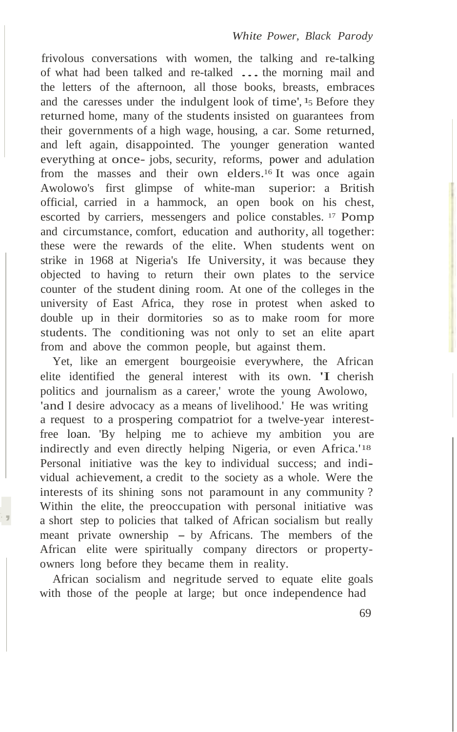#### *White Power, Black Parody*

frivolous conversations with women, the talking and re-talking of what had been talked and re-talked ... the morning mail and the letters of the afternoon, all those books, breasts, embraces and the caresses under the indulgent look of time', 15 Before they returned home, many of the students insisted on guarantees from their governments of a high wage, housing, a car. Some returned, and left again, disappointed. The younger generation wanted everything at once- jobs, security, reforms, power and adulation from the masses and their own elders.<sup>16</sup> It was once again Awolowo's first glimpse of white-man superior: a British official, carried in a hammock, an open book on his chest, escorted by carriers, messengers and police constables. <sup>17</sup> Pomp and circumstance, comfort, education and authority, all together: these were the rewards of the elite. When students went on strike in 1968 at Nigeria's Ife University, it was because they objected to having to return their own plates to the service counter of the student dining room. At one of the colleges in the university of East Africa, they rose in protest when asked to double up in their dormitories so as to make room for more students. The conditioning was not only to set an elite apart from and above the common people, but against them.

Yet, like an emergent bourgeoisie everywhere, the African elite identified the general interest with its own. 'I cherish politics and journalism as a career,' wrote the young Awolowo, 'and I desire advocacy as a means of livelihood.' He was writing a request to a prospering compatriot for a twelve-year interestfree loan. 'By helping me to achieve my ambition you are indirectly and even directly helping Nigeria, or even Africa.' 18 Personal initiative was the key to individual success; and individual achievement, a credit to the society as a whole. Were the interests of its shining sons not paramount in any community ? Within the elite, the preoccupation with personal initiative was a short step to policies that talked of African socialism but really meant private ownership - by Africans. The members of the African elite were spiritually company directors or propertyowners long before they became them in reality.

.,

African socialism and negritude served to equate elite goals with those of the people at large; but once independence had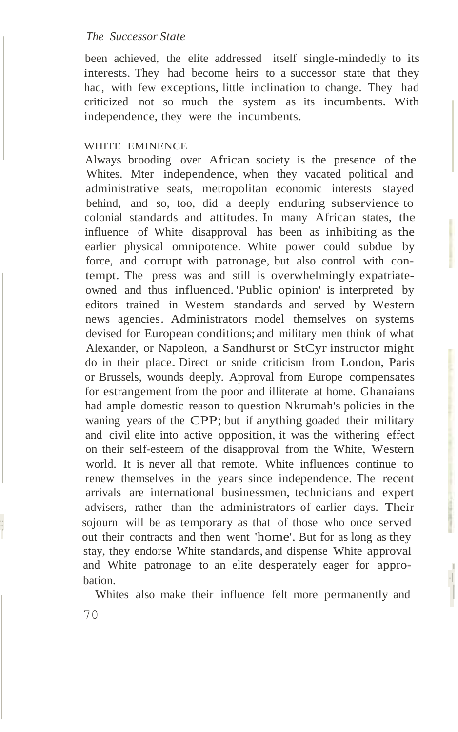been achieved, the elite addressed itself single-mindedly to its interests. They had become heirs to a successor state that they had, with few exceptions, little inclination to change. They had criticized not so much the system as its incumbents. With independence, they were the incumbents.

## WHITE EMINENCE

Always brooding over African society is the presence of the Whites. Mter independence, when they vacated political and administrative seats, metropolitan economic interests stayed behind, and so, too, did a deeply enduring subservience to colonial standards and attitudes. In many African states, the influence of White disapproval has been as inhibiting as the earlier physical omnipotence. White power could subdue by force, and corrupt with patronage, but also control with contempt. The press was and still is overwhelmingly expatriateowned and thus influenced. 'Public opinion' is interpreted by editors trained in Western standards and served by Western news agencies. Administrators model themselves on systems devised for European conditions; and military men think of what Alexander, or Napoleon, a Sandhurst or StCyr instructor might do in their place. Direct or snide criticism from London, Paris or Brussels, wounds deeply. Approval from Europe compensates for estrangement from the poor and illiterate at home. Ghanaians had ample domestic reason to question Nkrumah's policies in the waning years of the CPP; but if anything goaded their military and civil elite into active opposition, it was the withering effect on their self-esteem of the disapproval from the White, Western world. It is never all that remote. White influences continue to renew themselves in the years since independence. The recent arrivals are international businessmen, technicians and expert advisers, rather than the administrators of earlier days. Their sojourn will be as temporary as that of those who once served out their contracts and then went 'home'. But for as long as they stay, they endorse White standards, and dispense White approval and White patronage to an elite desperately eager for appro- $\blacksquare$ 

Whites also make their influence felt more permanently and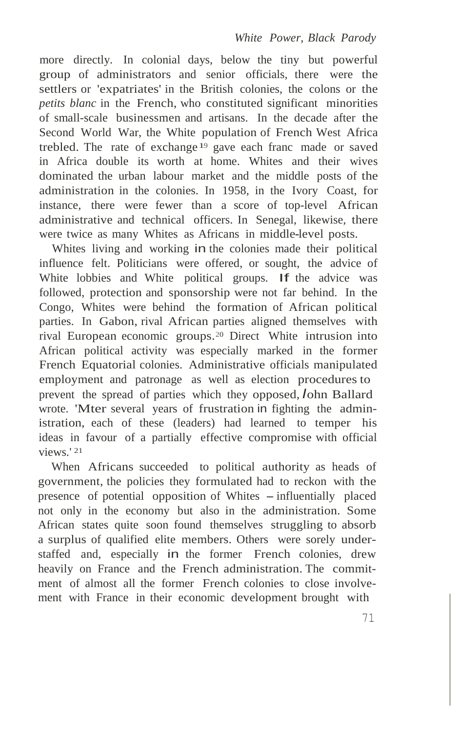#### *White Power, Black Parody*

more directly. In colonial days, below the tiny but powerful group of administrators and senior officials, there were the settlers or 'expatriates' in the British colonies, the colons or the *petits blanc* in the French, who constituted significant minorities of small-scale businessmen and artisans. In the decade after the Second World War, the White population of French West Africa trebled. The rate of exchange<sup>19</sup> gave each franc made or saved in Africa double its worth at home. Whites and their wives dominated the urban labour market and the middle posts of the administration in the colonies. In 1958, in the Ivory Coast, for instance, there were fewer than a score of top-level African administrative and technical officers. In Senegal, likewise, there were twice as many Whites as Africans in middle-level posts.

Whites living and working in the colonies made their political influence felt. Politicians were offered, or sought, the advice of White lobbies and White political groups. If the advice was followed, protection and sponsorship were not far behind. In the Congo, Whites were behind the formation of African political parties. In Gabon, rival African parties aligned themselves with rival European economic groups.<sup>20</sup> Direct White intrusion into African political activity was especially marked in the former French Equatorial colonies. Administrative officials manipulated employment and patronage as well as election procedures to prevent the spread of parties which they opposed, *I*ohn Ballard wrote. 'Mter several years of frustration in fighting the administration, each of these (leaders) had learned to temper his ideas in favour of a partially effective compromise with official views.' 21

When Africans succeeded to political authority as heads of government, the policies they formulated had to reckon with the presence of potential opposition of Whites – influentially placed not only in the economy but also in the administration. Some African states quite soon found themselves struggling to absorb a surplus of qualified elite members. Others were sorely understaffed and, especially in the former French colonies, drew heavily on France and the French administration. The commitment of almost all the former French colonies to close involvement with France in their economic development brought with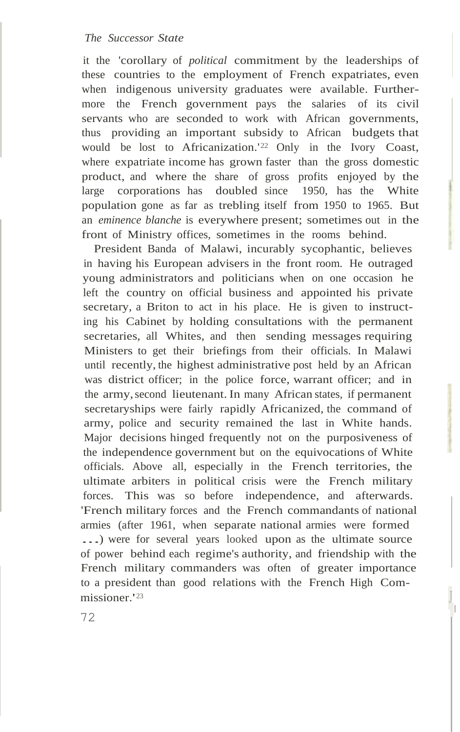it the 'corollary of *political* commitment by the leaderships of these countries to the employment of French expatriates, even when indigenous university graduates were available. Furthermore the French government pays the salaries of its civil servants who are seconded to work with African governments, thus providing an important subsidy to African budgets that would be lost to Africanization.<sup>'22</sup> Only in the Ivory Coast, where expatriate income has grown faster than the gross domestic product, and where the share of gross profits enjoyed by the large corporations has doubled since 1950, has the White population gone as far as trebling itself from 1950 to 1965. But an *eminence blanche* is everywhere present; sometimes out in the front of Ministry offices, sometimes in the rooms behind.

President Banda of Malawi, incurably sycophantic, believes in having his European advisers in the front room. He outraged young administrators and politicians when on one occasion he left the country on official business and appointed his private secretary, a Briton to act in his place. He is given to instructing his Cabinet by holding consultations with the permanent secretaries, all Whites, and then sending messages requiring Ministers to get their briefings from their officials. In Malawi until recently, the highest administrative post held by an African was district officer; in the police force, warrant officer; and in the army,second lieutenant.In many African states, if permanent secretaryships were fairly rapidly Africanized, the command of army, police and security remained the last in White hands. Major decisions hinged frequently not on the purposiveness of the independence government but on the equivocations of White officials. Above all, especially in the French territories, the ultimate arbiters in political crisis were the French military forces. This was so before independence, and afterwards. 'French military forces and the French commandants of national armies (after 1961, when separate national armies were formed ...) were for several years looked upon as the ultimate source of power behind each regime's authority, and friendship with the French military commanders was often of greater importance to a president than good relations with the French High Commissioner.'  $\frac{1}{2}$ 

I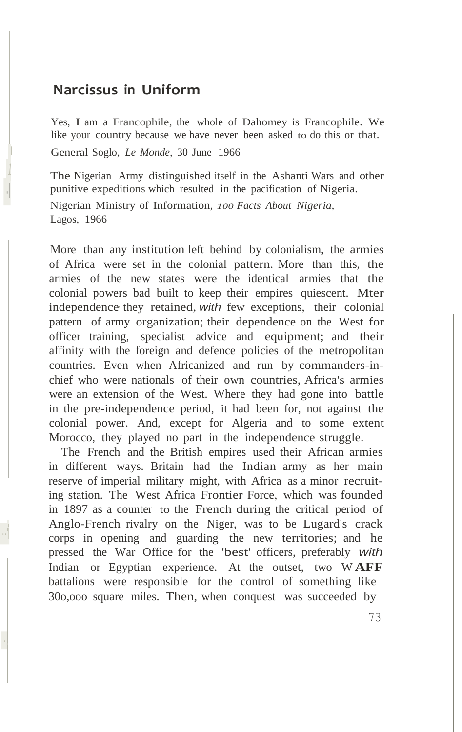# **Narcissus in Uniform**

I *1* ·l

I

·.

Yes, I am a Francophile, the whole of Dahomey is Francophile. We like your country because we have never been asked to do this or that.

General Soglo, *Le Monde,* 30 June 1966

The Nigerian Army distinguished itself in the Ashanti Wars and other punitive expeditions which resulted in the pacification of Nigeria. Nigerian Ministry of Information, *100 Facts About Nigeria,* Lagos, 1966

More than any institution left behind by colonialism, the armies of Africa were set in the colonial pattern. More than this, the armies of the new states were the identical armies that the colonial powers bad built to keep their empires quiescent. Mter independence they retained, with few exceptions, their colonial pattern of army organization; their dependence on the West for officer training, specialist advice and equipment; and their affinity with the foreign and defence policies of the metropolitan countries. Even when Africanized and run by commanders-inchief who were nationals of their own countries, Africa's armies were an extension of the West. Where they had gone into battle in the pre-independence period, it had been for, not against the colonial power. And, except for Algeria and to some extent Morocco, they played no part in the independence struggle.

The French and the British empires used their African armies in different ways. Britain had the Indian army as her main reserve of imperial military might, with Africa as a minor recruiting station. The West Africa Frontier Force, which was founded in 1897 as a counter to the French during the critical period of Anglo-French rivalry on the Niger, was to be Lugard's crack corps in opening and guarding the new territories; and he pressed the War Office for the 'best' officers, preferably *with*  Indian or Egyptian experience. At the outset, two W **AFF**  battalions were responsible for the control of something like 30o,ooo square miles. Then, when conquest was succeeded by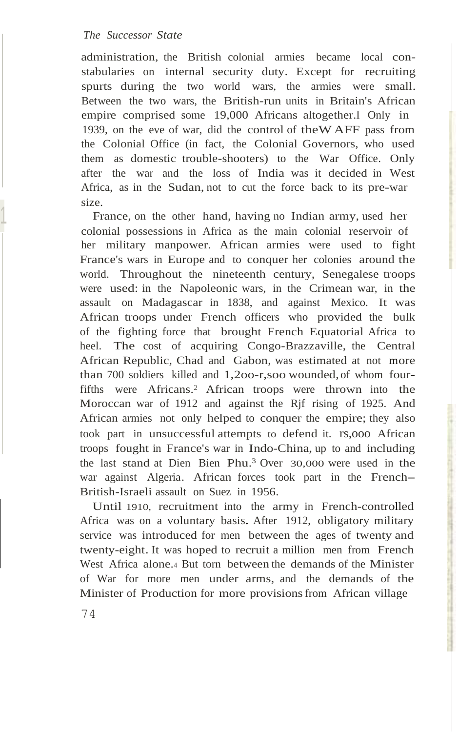administration, the British colonial armies became local constabularies on internal security duty. Except for recruiting spurts during the two world wars, the armies were small. Between the two wars, the British-run units in Britain's African empire comprised some 19,000 Africans altogether.l Only in 1939, on the eve of war, did the control of theW AFF pass from the Colonial Office (in fact, the Colonial Governors, who used them as domestic trouble-shooters) to the War Office. Only after the war and the loss of India was it decided in West Africa, as in the Sudan, not to cut the force back to its pre-war size.

France, on the other hand, having no Indian army, used her colonial possessions in Africa as the main colonial reservoir of her military manpower. African armies were used to fight France's wars in Europe and to conquer her colonies around the world. Throughout the nineteenth century, Senegalese troops were used: in the Napoleonic wars, in the Crimean war, in the assault on Madagascar in 1838, and against Mexico. It was African troops under French officers who provided the bulk of the fighting force that brought French Equatorial Africa to heel. The cost of acquiring Congo-Brazzaville, the Central African Republic, Chad and Gabon, was estimated at not more than 700 soldiers killed and 1,2oo-r,soo wounded, of whom fourfifths were Africans.<sup>2</sup> African troops were thrown into the Moroccan war of 1912 and against the Rjf rising of 1925. And African armies not only helped to conquer the empire; they also took part in unsuccessful attempts to defend it. rs,ooo African troops fought in France's war in Indo-China, up to and including the last stand at Dien Bien Phu. <sup>3</sup> Over 30,000 were used in the war against Algeria. African forces took part in the French-British-Israeli assault on Suez in 1956.

Until 1910, recruitment into the army in French-controlled Africa was on a voluntary basis. After 1912, obligatory military service was introduced for men between the ages of twenty and twenty-eight. It was hoped to recruit a million men from French West Africa alone.<sup>4</sup> But torn between the demands of the Minister of War for more men under arms, and the demands of the Minister of Production for more provisionsfrom African village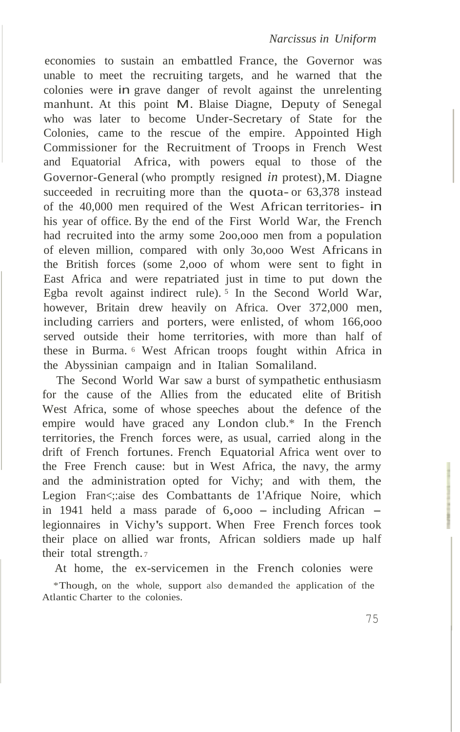economies to sustain an embattled France, the Governor was unable to meet the recruiting targets, and he warned that the colonies were in grave danger of revolt against the unrelenting manhunt. At this point M. Blaise Diagne, Deputy of Senegal who was later to become Under-Secretary of State for the Colonies, came to the rescue of the empire. Appointed High Commissioner for the Recruitment of Troops in French West and Equatorial Africa, with powers equal to those of the Governor-General (who promptly resigned *in* protest),M. Diagne succeeded in recruiting more than the quota- or 63,378 instead of the 40,000 men required of the West African territories- in his year of office. By the end of the First World War, the French had recruited into the army some 2oo,ooo men from a population of eleven million, compared with only 3o,ooo West Africans in the British forces (some 2,ooo of whom were sent to fight in East Africa and were repatriated just in time to put down the Egba revolt against indirect rule).<sup>5</sup> In the Second World War, however, Britain drew heavily on Africa. Over 372,000 men, including carriers and porters, were enlisted, of whom 166,ooo served outside their home territories, with more than half of these in Burma. <sup>6</sup> West African troops fought within Africa in the Abyssinian campaign and in Italian Somaliland.

The Second World War saw a burst of sympathetic enthusiasm for the cause of the Allies from the educated elite of British West Africa, some of whose speeches about the defence of the empire would have graced any London club.\* In the French territories, the French forces were, as usual, carried along in the drift of French fortunes. French Equatorial Africa went over to the Free French cause: but in West Africa, the navy, the army and the administration opted for Vichy; and with them, the Legion Fran<:: aise des Combattants de l'Afrique Noire, which in 1941 held a mass parade of  $6,000 -$  including African  $$ legionnaires in Vichy's support. When Free French forces took their place on allied war fronts, African soldiers made up half their total strength. 7

At home, the ex-servicemen in the French colonies were \*Though, on the whole, support also demanded the application of the Atlantic Charter to the colonies.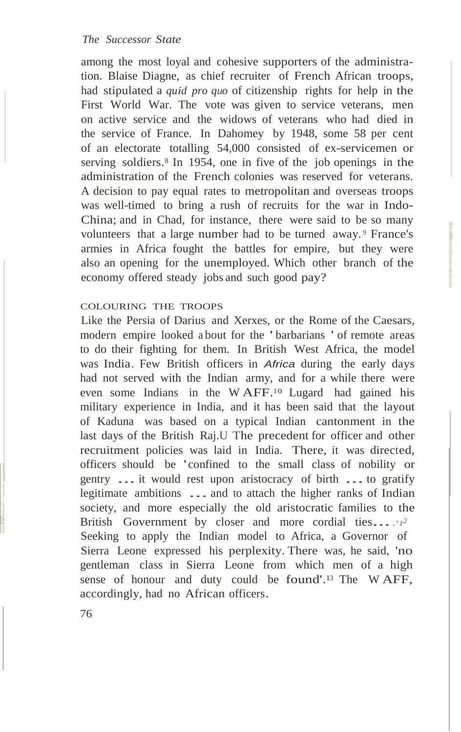among the most loyal and cohesive supporters of the administration. Blaise Diagne, as chief recruiter of French African troops, had stipulated a *quid pro quo* of citizenship rights for help in the First World War. The vote was given to service veterans, men on active service and the widows of veterans who had died in the service of France. In Dahomey by 1948, some 58 per cent of an electorate totalling 54,000 consisted of ex-servicemen or serving soldiers. 8 In 1954, one in five of the job openings in the administration of the French colonies was reserved for veterans. A decision to pay equal rates to metropolitan and overseas troops was well-timed to bring a rush of recruits for the war in Indo-China; and in Chad, for instance, there were said to be so many volunteers that a large number had to be turned away. <sup>9</sup> France's armies in Africa fought the battles for empire, but they were also an opening for the unemployed. Which other branch of the economy offered steady jobs and such good pay?

## COLOURING THE TROOPS

Like the Persia of Darius and Xerxes, or the Rome of the Caesars, modern empire looked a bout for the ' barbarians ' of remote areas to do their fighting for them. In British West Africa, the model was India. Few British officers in *Africa* during the early days had not served with the Indian army, and for a while there were even some Indians in the W AFF. 10 Lugard had gained his military experience in India, and it has been said that the layout of Kaduna was based on a typical Indian cantonment in the last days of the British Raj.U The precedent for officer and other recruitment policies was laid in India. There, it was directed, officers should be 'confined to the small class of nobility or gentry ... it would rest upon aristocracy of birth ... to gratify legitimate ambitions ... and to attach the higher ranks of Indian society, and more especially the old aristocratic families to the British Government by closer and more cordial ties...*.'1 2* Seeking to apply the Indian model to Africa, a Governor of Sierra Leone expressed his perplexity. There was, he said, 'no gentleman class in Sierra Leone from which men of a high sense of honour and duty could be found'.<sup>13</sup> The WAFF, accordingly, had no African officers.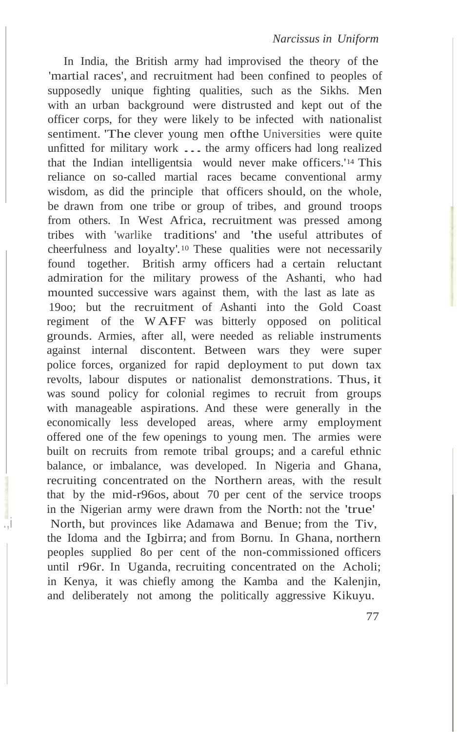In India, the British army had improvised the theory of the 'martial races', and recruitment had been confined to peoples of supposedly unique fighting qualities, such as the Sikhs. Men with an urban background were distrusted and kept out of the officer corps, for they were likely to be infected with nationalist sentiment. 'The clever young men ofthe Universities were quite unfitted for military work ... the army officers had long realized that the Indian intelligentsia would never make officers.'<sup>14</sup> This reliance on so-called martial races became conventional army wisdom, as did the principle that officers should, on the whole, be drawn from one tribe or group of tribes, and ground troops from others. In West Africa, recruitment was pressed among tribes with 'warlike traditions' and 'the useful attributes of cheerfulness and loyalty'.<sup>10</sup> These qualities were not necessarily found together. British army officers had a certain reluctant admiration for the military prowess of the Ashanti, who had mounted successive wars against them, with the last as late as 19oo; but the recruitment of Ashanti into the Gold Coast regiment of the W AFF was bitterly opposed on political grounds. Armies, after all, were needed as reliable instruments against internal discontent. Between wars they were super police forces, organized for rapid deployment to put down tax revolts, labour disputes or nationalist demonstrations. Thus, it was sound policy for colonial regimes to recruit from groups with manageable aspirations. And these were generally in the economically less developed areas, where army employment offered one of the few openings to young men. The armies were built on recruits from remote tribal groups; and a careful ethnic balance, or imbalance, was developed. In Nigeria and Ghana, recruiting concentrated on the Northern areas, with the result that by the mid-r96os, about 70 per cent of the service troops in the Nigerian army were drawn from the North: not the 'true' North, but provinces like Adamawa and Benue; from the Tiv, the Idoma and the Igbirra; and from Bornu. In Ghana, northern peoples supplied 8o per cent of the non-commissioned officers until r96r. In Uganda, recruiting concentrated on the Acholi; in Kenya, it was chiefly among the Kamba and the Kalenjin, and deliberately not among the politically aggressive Kikuyu.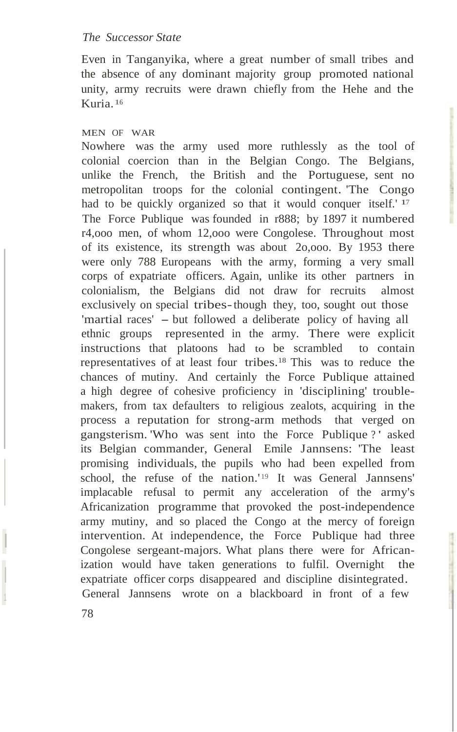Even in Tanganyika, where a great number of small tribes and the absence of any dominant majority group promoted national unity, army recruits were drawn chiefly from the Hehe and the Kuria. 16

#### MEN OF WAR

Nowhere was the army used more ruthlessly as the tool of colonial coercion than in the Belgian Congo. The Belgians, unlike the French, the British and the Portuguese, sent no metropolitan troops for the colonial contingent. 'The Congo had to be quickly organized so that it would conquer itself.<sup>'17</sup> The Force Publique was founded in r888; by 1897 it numbered r4,ooo men, of whom 12,ooo were Congolese. Throughout most of its existence, its strength was about 2o,ooo. By 1953 there were only 788 Europeans with the army, forming a very small corps of expatriate officers. Again, unlike its other partners in colonialism, the Belgians did not draw for recruits almost exclusively on special tribes-though they, too, sought out those 'martial races' - but followed a deliberate policy of having all ethnic groups represented in the army. There were explicit instructions that platoons had to be scrambled to contain representatives of at least four tribes. <sup>18</sup> This was to reduce the chances of mutiny. And certainly the Force Publique attained a high degree of cohesive proficiency in 'disciplining' troublemakers, from tax defaulters to religious zealots, acquiring in the process a reputation for strong-arm methods that verged on gangsterism. 'Who was sent into the Force Publique ? ' asked its Belgian commander, General Emile Jannsens: 'The least promising individuals, the pupils who had been expelled from school, the refuse of the nation.'<sup>19</sup> It was General Jannsens' implacable refusal to permit any acceleration of the army's Africanization programme that provoked the post-independence army mutiny, and so placed the Congo at the mercy of foreign intervention. At independence, the Force Publique had three Congolese sergeant-majors. What plans there were for Africanization would have taken generations to fulfil. Overnight the expatriate officer corps disappeared and discipline disintegrated. <sup>1</sup> General Jannsens wrote on a blackboard in front of a few

78

l

I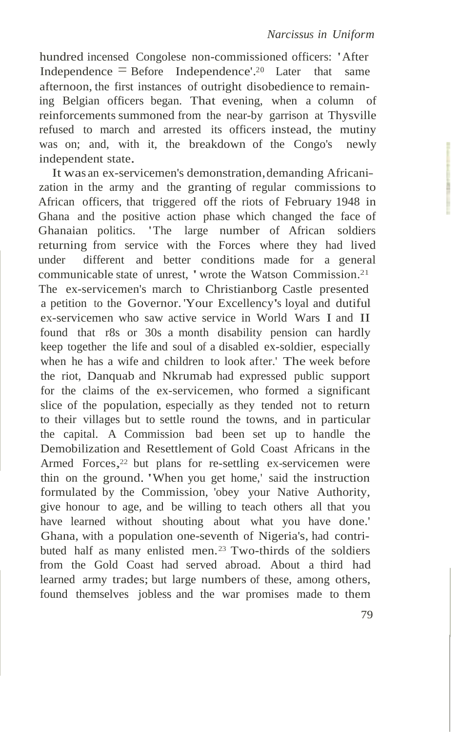hundred incensed Congolese non-commissioned officers: 'After Independence  $=$  Before Independence'.<sup>20</sup> Later that same afternoon, the first instances of outright disobedience to remaining Belgian officers began. That evening, when a column of reinforcements summoned from the near-by garrison at Thysville refused to march and arrested its officers instead, the mutiny was on; and, with it, the breakdown of the Congo's newly independent state.

It was an ex-servicemen's demonstration,demanding Africanization in the army and the granting of regular commissions to African officers, that triggered off the riots of February 1948 in Ghana and the positive action phase which changed the face of Ghanaian politics. 'The large number of African soldiers returning from service with the Forces where they had lived under different and better conditions made for a general communicable state of unrest, ' wrote the Watson Commission. 21 The ex-servicemen's march to Christianborg Castle presented a petition to the Governor. 'Your Excellency's loyal and dutiful ex-servicemen who saw active service in World Wars I and II found that r8s or 30s a month disability pension can hardly keep together the life and soul of a disabled ex-soldier, especially when he has a wife and children to look after.' The week before the riot, Danquab and Nkrumab had expressed public support for the claims of the ex-servicemen, who formed a significant slice of the population, especially as they tended not to return to their villages but to settle round the towns, and in particular the capital. A Commission bad been set up to handle the Demobilization and Resettlement of Gold Coast Africans in the Armed Forces,<sup>22</sup> but plans for re-settling ex-servicemen were thin on the ground. 'When you get home,' said the instruction formulated by the Commission, 'obey your Native Authority, give honour to age, and be willing to teach others all that you have learned without shouting about what you have done.' Ghana, with a population one-seventh of Nigeria's, had contributed half as many enlisted men.<sup>23</sup> Two-thirds of the soldiers from the Gold Coast had served abroad. About a third had learned army trades; but large numbers of these, among others, found themselves jobless and the war promises made to them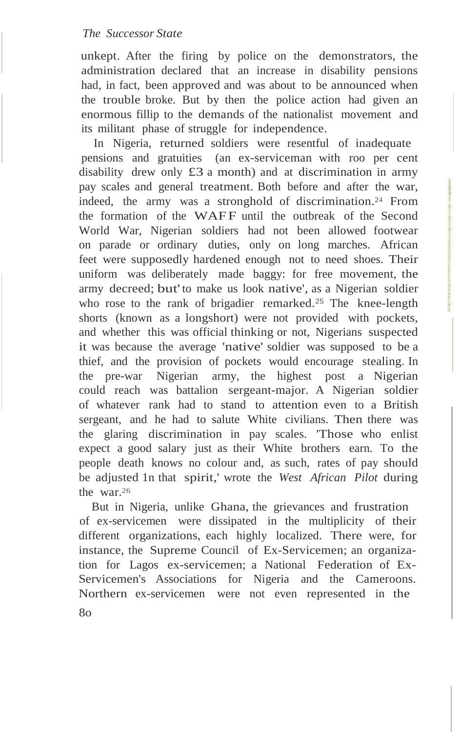unkept. After the firing by police on the demonstrators, the administration declared that an increase in disability pensions had, in fact, been approved and was about to be announced when the trouble broke. But by then the police action had given an enormous fillip to the demands of the nationalist movement and its militant phase of struggle for independence.

In Nigeria, returned soldiers were resentful of inadequate pensions and gratuities (an ex-serviceman with roo per cent disability drew only £3 a month) and at discrimination in army pay scales and general treatment. Both before and after the war, indeed, the army was a stronghold of discrimination.<sup>24</sup> From the formation of the WAFF until the outbreak of the Second World War, Nigerian soldiers had not been allowed footwear on parade or ordinary duties, only on long marches. African feet were supposedly hardened enough not to need shoes. Their uniform was deliberately made baggy: for free movement, the army decreed; but' to make us look native', as a Nigerian soldier who rose to the rank of brigadier remarked.<sup>25</sup> The knee-length shorts (known as a longshort) were not provided with pockets, and whether this was official thinking or not, Nigerians suspected it was because the average 'native' soldier was supposed to be a thief, and the provision of pockets would encourage stealing. In the pre-war Nigerian army, the highest post a Nigerian could reach was battalion sergeant-major. A Nigerian soldier of whatever rank had to stand to attention even to a British sergeant, and he had to salute White civilians. Then there was the glaring discrimination in pay scales. 'Those who enlist expect a good salary just as their White brothers earn. To the people death knows no colour and, as such, rates of pay should be adjusted 1n that spirit,' wrote the *West African Pilot* during the war. 26

But in Nigeria, unlike Ghana, the grievances and frustration of ex-servicemen were dissipated in the multiplicity of their different organizations, each highly localized. There were, for instance, the Supreme Council of Ex-Servicemen; an organization for Lagos ex-servicemen; a National Federation of Ex-Servicemen's Associations for Nigeria and the Cameroons. Northern ex-servicemen were not even represented in the

8o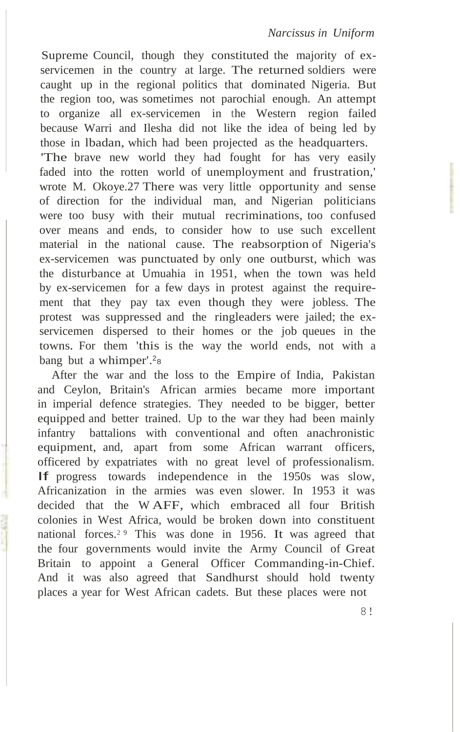Supreme Council, though they constituted the majority of exservicemen in the country at large. The returned soldiers were caught up in the regional politics that dominated Nigeria. But the region too, was sometimes not parochial enough. An attempt to organize all ex-servicemen in the Western region failed because Warri and Ilesha did not like the idea of being led by those in lbadan, which had been projected as the headquarters.

'The brave new world they had fought for has very easily faded into the rotten world of unemployment and frustration,' wrote M. Okoye.27 There was very little opportunity and sense of direction for the individual man, and Nigerian politicians were too busy with their mutual recriminations, too confused over means and ends, to consider how to use such excellent material in the national cause. The reabsorption of Nigeria's ex-servicemen was punctuated by only one outburst, which was the disturbance at Umuahia in 1951, when the town was held by ex-servicemen for a few days in protest against the requirement that they pay tax even though they were jobless. The protest was suppressed and the ringleaders were jailed; the exservicemen dispersed to their homes or the job queues in the towns. For them 'this is the way the world ends, not with a bang but a whimper'.<sup>2</sup><sup>8</sup>

After the war and the loss to the Empire of India, Pakistan and Ceylon, Britain's African armies became more important in imperial defence strategies. They needed to be bigger, better equipped and better trained. Up to the war they had been mainly infantry battalions with conventional and often anachronistic equipment, and, apart from some African warrant officers, officered by expatriates with no great level of professionalism. If progress towards independence in the 1950s was slow, Africanization in the armies was even slower. In 1953 it was decided that the W AFF, which embraced all four British colonies in West Africa, would be broken down into constituent national forces.<sup>29</sup> This was done in 1956. It was agreed that the four governments would invite the Army Council of Great Britain to appoint a General Officer Commanding-in-Chief. And it was also agreed that Sandhurst should hold twenty places a year for West African cadets. But these places were not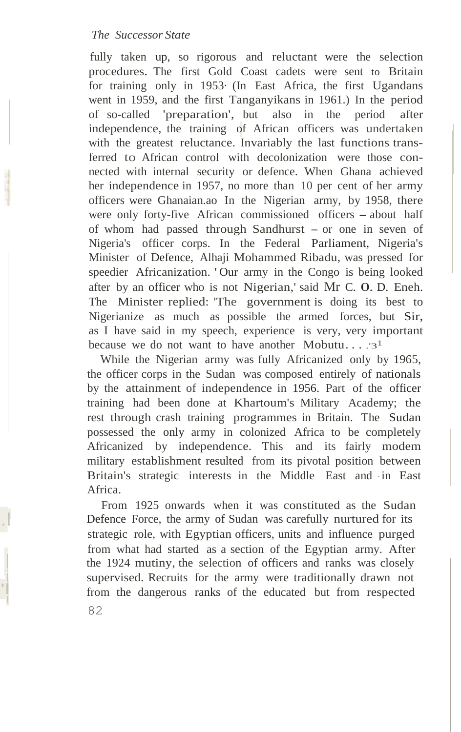fully taken up, so rigorous and reluctant were the selection procedures. The first Gold Coast cadets were sent to Britain for training only in 1953· (In East Africa, the first Ugandans went in 1959, and the first Tanganyikans in 1961.) In the period of so-called 'preparation', but also in the period after independence, the training of African officers was undertaken with the greatest reluctance. Invariably the last functions transferred to African control with decolonization were those connected with internal security or defence. When Ghana achieved her independence in 1957, no more than 10 per cent of her army officers were Ghanaian.ao In the Nigerian army, by 1958, there were only forty-five African commissioned officers - about half of whom had passed through Sandhurst - or one in seven of Nigeria's officer corps. In the Federal Parliament, Nigeria's Minister of Defence, Alhaji Mohammed Ribadu, was pressed for speedier Africanization. ' Our army in the Congo is being looked after by an officer who is not Nigerian,' said Mr C. 0. D. Eneh. The Minister replied: 'The government is doing its best to Nigerianize as much as possible the armed forces, but Sir, as I have said in my speech, experience is very, very important because we do not want to have another Mobutu... $\cdot$  :3<sup>1</sup>

While the Nigerian army was fully Africanized only by 1965, the officer corps in the Sudan was composed entirely of nationals by the attainment of independence in 1956. Part of the officer training had been done at Khartoum's Military Academy; the rest through crash training programmes in Britain. The Sudan possessed the only army in colonized Africa to be completely Africanized by independence. This and its fairly modem military establishment resulted from its pivotal position between Britain's strategic interests in the Middle East and in East Africa.

From 1925 onwards when it was constituted as the Sudan Defence Force, the army of Sudan was carefully nurtured for its strategic role, with Egyptian officers, units and influence purged from what had started as a section of the Egyptian army. After the 1924 mutiny, the selection of officers and ranks was closely supervised. Recruits for the army were traditionally drawn not from the dangerous ranks of the educated but from respected

82

·I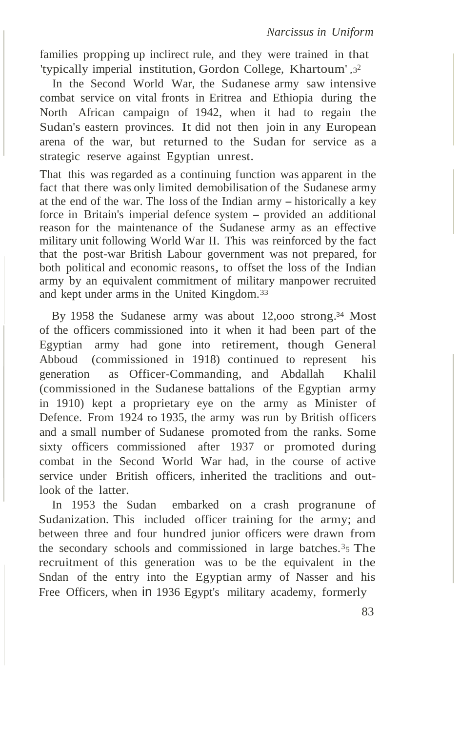families propping up inclirect rule, and they were trained in that 'typically imperial institution, Gordon College, Khartoum',32

In the Second World War, the Sudanese army saw intensive combat service on vital fronts in Eritrea and Ethiopia during the North African campaign of 1942, when it had to regain the Sudan's eastern provinces. It did not then join in any European arena of the war, but returned to the Sudan for service as a strategic reserve against Egyptian unrest.

That this was regarded as a continuing function was apparent in the fact that there was only limited demobilisation of the Sudanese army at the end of the war. The loss of the Indian army - historically <sup>a</sup> key force in Britain's imperial defence system - provided an additional reason for the maintenance of the Sudanese army as an effective military unit following World War II. This was reinforced by the fact that the post-war British Labour government was not prepared, for both political and economic reasons, to offset the loss of the Indian army by an equivalent commitment of military manpower recruited and kept under arms in the United Kingdom. 33

By 1958 the Sudanese army was about 12,000 strong.<sup>34</sup> Most of the officers commissioned into it when it had been part of the Egyptian army had gone into retirement, though General Abboud (commissioned in 1918) continued to represent his generation as Officer-Commanding, and Abdallah Khalil (commissioned in the Sudanese battalions of the Egyptian army in 1910) kept a proprietary eye on the army as Minister of Defence. From 1924 to 1935, the army was run by British officers and a small number of Sudanese promoted from the ranks. Some sixty officers commissioned after 1937 or promoted during combat in the Second World War had, in the course of active service under British officers, inherited the traclitions and outlook of the latter.

In 1953 the Sudan embarked on a crash progranune of Sudanization. This included officer training for the army; and between three and four hundred junior officers were drawn from the secondary schools and commissioned in large batches.<sup>3</sup><sup>5</sup> The recruitment of this generation was to be the equivalent in the Sndan of the entry into the Egyptian army of Nasser and his Free Officers, when in 1936 Egypt's military academy, formerly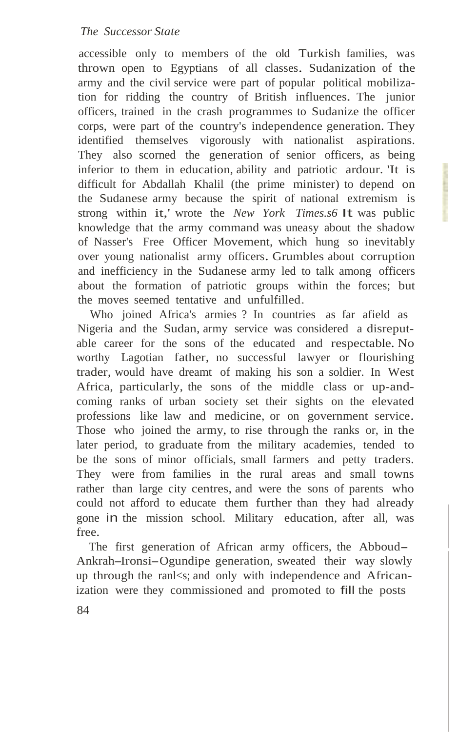accessible only to members of the old Turkish families, was thrown open to Egyptians of all classes. Sudanization of the army and the civil service were part of popular political mobilization for ridding the country of British influences. The junior officers, trained in the crash programmes to Sudanize the officer corps, were part of the country's independence generation. They identified themselves vigorously with nationalist aspirations. They also scorned the generation of senior officers, as being inferior to them in education, ability and patriotic ardour. 'It is difficult for Abdallah Khalil (the prime minister) to depend on the Sudanese army because the spirit of national extremism is strong within it,' wrote the *New York Times.s6* It was public knowledge that the army command was uneasy about the shadow of Nasser's Free Officer Movement, which hung so inevitably over young nationalist army officers. Grumbles about corruption and inefficiency in the Sudanese army led to talk among officers about the formation of patriotic groups within the forces; but the moves seemed tentative and unfulfilled.

Who joined Africa's armies ? In countries as far afield as Nigeria and the Sudan, army service was considered a disreputable career for the sons of the educated and respectable. No worthy Lagotian father, no successful lawyer or flourishing trader, would have dreamt of making his son a soldier. In West Africa, particularly, the sons of the middle class or up-andcoming ranks of urban society set their sights on the elevated professions like law and medicine, or on government service. Those who joined the army, to rise through the ranks or, in the later period, to graduate from the military academies, tended to be the sons of minor officials, small farmers and petty traders. They were from families in the rural areas and small towns rather than large city centres, and were the sons of parents who could not afford to educate them further than they had already gone in the mission school. Military education, after all, was free.

The first generation of African army officers, the Abboud-Ankrah-Ironsi-Ogundipe generation, sweated their way slowly up through the ranl<s; and only with independence and Africanization were they commissioned and promoted to fill the posts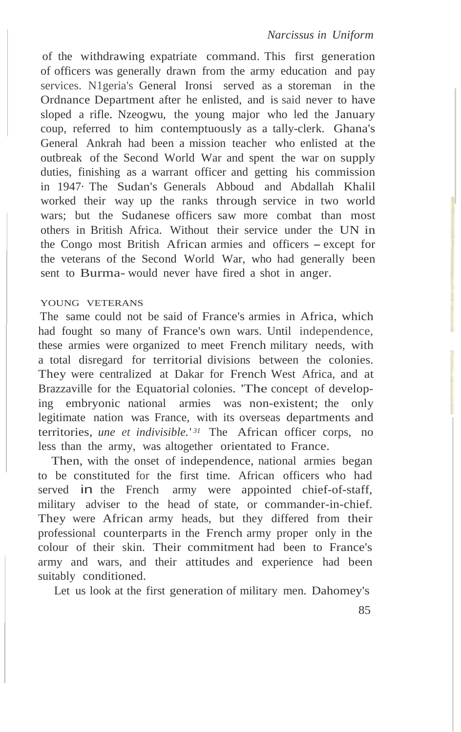#### *Narcissus in Uniform*

of the withdrawing expatriate command. This first generation of officers was generally drawn from the army education and pay services. N1geria's General Ironsi served as a storeman in the Ordnance Department after he enlisted, and is said never to have sloped a rifle. Nzeogwu, the young major who led the January coup, referred to him contemptuously as a tally-clerk. Ghana's General Ankrah had been a mission teacher who enlisted at the outbreak of the Second World War and spent the war on supply duties, finishing as a warrant officer and getting his commission in 1947· The Sudan's Generals Abboud and Abdallah Khalil worked their way up the ranks through service in two world wars; but the Sudanese officers saw more combat than most others in British Africa. Without their service under the UN in the Congo most British African armies and officers - except for the veterans of the Second World War, who had generally been sent to Burma- would never have fired a shot in anger.

## YOUNG VETERANS

The same could not be said of France's armies in Africa, which had fought so many of France's own wars. Until independence, these armies were organized to meet French military needs, with a total disregard for territorial divisions between the colonies. They were centralized at Dakar for French West Africa, and at Brazzaville for the Equatorial colonies. 'The concept of developing embryonic national armies was non-existent; the only legitimate nation was France, with its overseas departments and territories, *une et indivisible.' <sup>31</sup>*The African officer corps, no less than the army, was altogether orientated to France.

Then, with the onset of independence, national armies began to be constituted for the first time. African officers who had served in the French army were appointed chief-of-staff, military adviser to the head of state, or commander-in-chief. They were African army heads, but they differed from their professional counterparts in the French army proper only in the colour of their skin. Their commitment had been to France's army and wars, and their attitudes and experience had been suitably conditioned.

Let us look at the first generation of military men. Dahomey's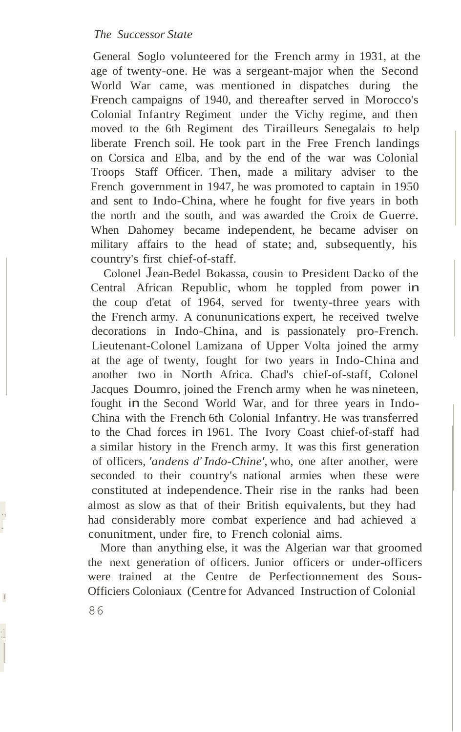General Soglo volunteered for the French army in 1931, at the age of twenty-one. He was a sergeant-major when the Second World War came, was mentioned in dispatches during the French campaigns of 1940, and thereafter served in Morocco's Colonial Infantry Regiment under the Vichy regime, and then moved to the 6th Regiment des Tirailleurs Senegalais to help liberate French soil. He took part in the Free French landings on Corsica and Elba, and by the end of the war was Colonial Troops Staff Officer. Then, made a military adviser to the French government in 1947, he was promoted to captain in 1950 and sent to Indo-China, where he fought for five years in both the north and the south, and was awarded the Croix de Guerre. When Dahomey became independent, he became adviser on military affairs to the head of state; and, subsequently, his country's first chief-of-staff.

Colonel Jean-Bedel Bokassa, cousin to President Dacko of the Central African Republic, whom he toppled from power in the coup d'etat of 1964, served for twenty-three years with the French army. A conununications expert, he received twelve decorations in Indo-China, and is passionately pro-French. Lieutenant-Colonel Lamizana of Upper Volta joined the army at the age of twenty, fought for two years in Indo-China and another two in North Africa. Chad's chief-of-staff, Colonel Jacques Doumro, joined the French army when he was nineteen, fought in the Second World War, and for three years in Indo-China with the French 6th Colonial Infantry. He was transferred to the Chad forces in 1961. The Ivory Coast chief-of-staff had a similar history in the French army. It was this first generation of officers, *'andens d' Indo-Chine',* who, one after another, were seconded to their country's national armies when these were constituted at independence. Their rise in the ranks had been almost as slow as that of their British equivalents, but they had had considerably more combat experience and had achieved a conunitment, under fire, to French colonial aims.

More than anything else, it was the Algerian war that groomed the next generation of officers. Junior officers or under-officers were trained at the Centre de Perfectionnement des Sous-Officiers Coloniaux (Centre for Advanced Instruction of Colonial

86

I

:1 I

.,

.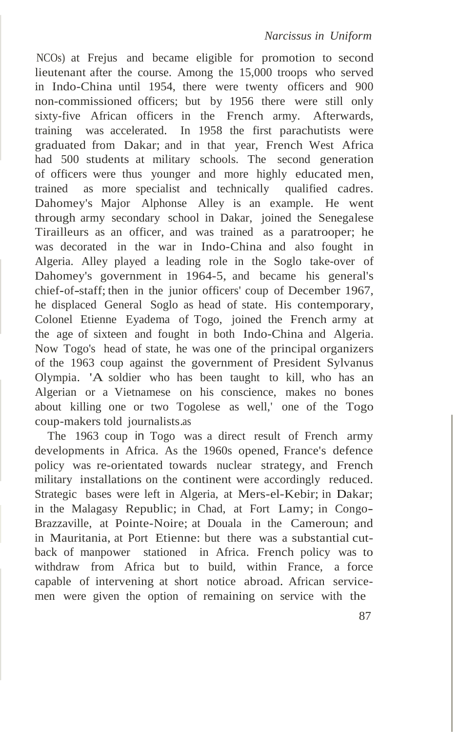NCOs) at Frejus and became eligible for promotion to second lieutenant after the course. Among the 15,000 troops who served in Indo-China until 1954, there were twenty officers and 900 non-commissioned officers; but by 1956 there were still only sixty-five African officers in the French army. Afterwards, training was accelerated. In 1958 the first parachutists were graduated from Dakar; and in that year, French West Africa had 500 students at military schools. The second generation of officers were thus younger and more highly educated men, trained as more specialist and technically qualified cadres. Dahomey's Major Alphonse Alley is an example. He went through army secondary school in Dakar, joined the Senegalese Tirailleurs as an officer, and was trained as a paratrooper; he was decorated in the war in Indo-China and also fought in Algeria. Alley played a leading role in the Soglo take-over of Dahomey's government in 1964-5, and became his general's chief-of-staff; then in the junior officers' coup of December 1967, he displaced General Soglo as head of state. His contemporary, Colonel Etienne Eyadema of Togo, joined the French army at the age of sixteen and fought in both Indo-China and Algeria. Now Togo's head of state, he was one of the principal organizers of the 1963 coup against the government of President Sylvanus Olympia. 'A soldier who has been taught to kill, who has an Algerian or a Vietnamese on his conscience, makes no bones about killing one or two Togolese as well,' one of the Togo coup-makers told journalists.as

The 1963 coup in Togo was a direct result of French army developments in Africa. As the 1960s opened, France's defence policy was re-orientated towards nuclear strategy, and French military installations on the continent were accordingly reduced. Strategic bases were left in Algeria, at Mers-el-Kebir; in Dakar; in the Malagasy Republic; in Chad, at Fort Lamy; in Congo-Brazzaville, at Pointe-Noire; at Douala in the Cameroun; and in Mauritania, at Port Etienne: but there was a substantial cutback of manpower stationed in Africa. French policy was to withdraw from Africa but to build, within France, a force capable of intervening at short notice abroad. African servicemen were given the option of remaining on service with the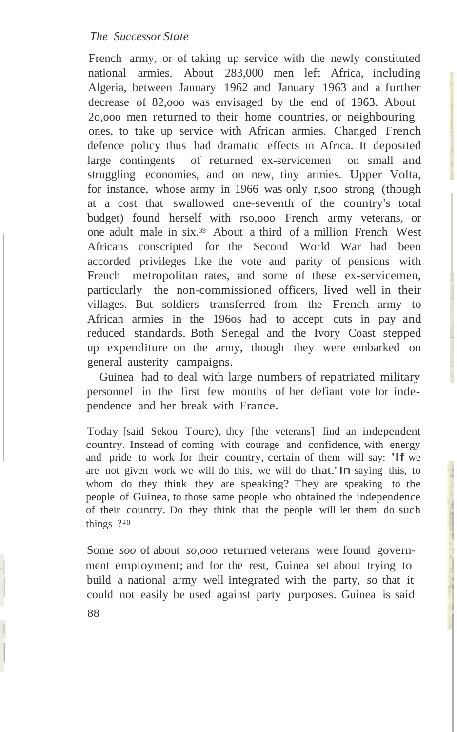I

·I

I

French army, or of taking up service with the newly constituted national armies. About 283,000 men left Africa, including Algeria, between January 1962 and January 1963 and a further decrease of 82,ooo was envisaged by the end of 1963. About 2o,ooo men returned to their home countries, or neighbouring ones, to take up service with African armies. Changed French defence policy thus had dramatic effects in Africa. It deposited large contingents of returned ex-servicemen on small and struggling economies, and on new, tiny armies. Upper Volta, for instance, whose army in 1966 was only r,soo strong (though at a cost that swallowed one-seventh of the country's total budget) found herself with rso,ooo French army veterans, or one adult male in six.<sup>39</sup> About a third of a million French West Africans conscripted for the Second World War had been accorded privileges like the vote and parity of pensions with French metropolitan rates, and some of these ex-servicemen, particularly the non-commissioned officers, lived well in their villages. But soldiers transferred from the French army to African armies in the 196os had to accept cuts in pay and reduced standards. Both Senegal and the Ivory Coast stepped up expenditure on the army, though they were embarked on general austerity campaigns.

Guinea had to deal with large numbers of repatriated military personnel in the first few months of her defiant vote for independence and her break with France.

Today [said Sekou Toure), they [the veterans] find an independent country. Instead of coming with courage and confidence, with energy and pride to work for their country, certain of them will say: 'If we are not given work we will do this, we will do that.' In saying this, to whom do they think they are speaking? They are speaking to the people of Guinea, to those same people who obtained the independence of their country. Do they think that the people will let them do such things ?40

Some *soo* of about *so,ooo* returned veterans were found govern ment employment; and for the rest, Guinea set about trying to build a national army well integrated with the party, so that it could not easily be used against party purposes. Guinea is said 88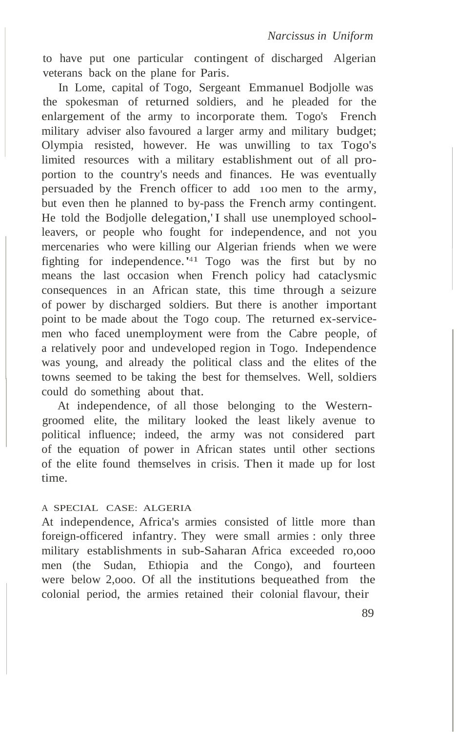to have put one particular contingent of discharged Algerian veterans back on the plane for Paris.

In Lome, capital of Togo, Sergeant Emmanuel Bodjolle was the spokesman of returned soldiers, and he pleaded for the enlargement of the army to incorporate them. Togo's French military adviser also favoured a larger army and military budget; Olympia resisted, however. He was unwilling to tax Togo's limited resources with a military establishment out of all proportion to the country's needs and finances. He was eventually persuaded by the French officer to add 100 men to the army, but even then he planned to by-pass the French army contingent. He told the Bodjolle delegation,'I shall use unemployed schoolleavers, or people who fought for independence, and not you mercenaries who were killing our Algerian friends when we were fighting for independence.' 41 Togo was the first but by no means the last occasion when French policy had cataclysmic consequences in an African state, this time through a seizure of power by discharged soldiers. But there is another important point to be made about the Togo coup. The returned ex-servicemen who faced unemployment were from the Cabre people, of a relatively poor and undeveloped region in Togo. Independence was young, and already the political class and the elites of the towns seemed to be taking the best for themselves. Well, soldiers could do something about that.

At independence, of all those belonging to the Westerngroomed elite, the military looked the least likely avenue to political influence; indeed, the army was not considered part of the equation of power in African states until other sections of the elite found themselves in crisis. Then it made up for lost time.

### A SPECIAL CASE: ALGERIA

At independence, Africa's armies consisted of little more than foreign-officered infantry. They were small armies : only three military establishments in sub-Saharan Africa exceeded ro,ooo men (the Sudan, Ethiopia and the Congo), and fourteen were below 2,ooo. Of all the institutions bequeathed from the colonial period, the armies retained their colonial flavour, their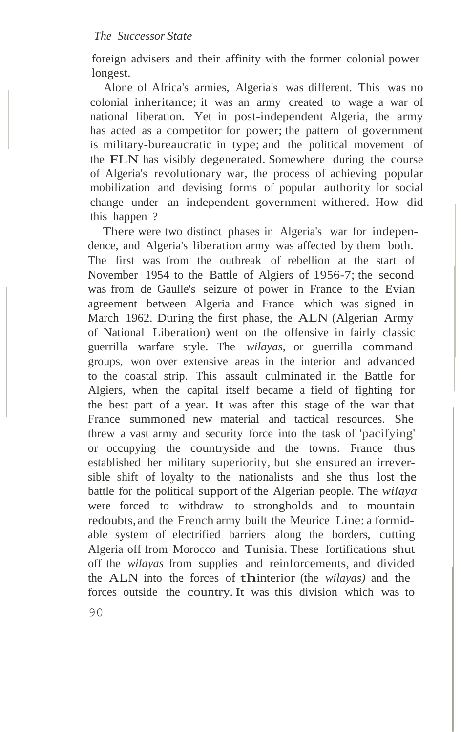foreign advisers and their affinity with the former colonial power longest.

Alone of Africa's armies, Algeria's was different. This was no colonial inheritance; it was an army created to wage a war of national liberation. Yet in post-independent Algeria, the army has acted as a competitor for power; the pattern of government is military-bureaucratic in type; and the political movement of the FLN has visibly degenerated. Somewhere during the course of Algeria's revolutionary war, the process of achieving popular mobilization and devising forms of popular authority for social change under an independent government withered. How did this happen ?

There were two distinct phases in Algeria's war for independence, and Algeria's liberation army was affected by them both. The first was from the outbreak of rebellion at the start of November 1954 to the Battle of Algiers of 1956-7; the second was from de Gaulle's seizure of power in France to the Evian agreement between Algeria and France which was signed in March 1962. During the first phase, the ALN (Algerian Army of National Liberation) went on the offensive in fairly classic guerrilla warfare style. The *wilayas,* or guerrilla command groups, won over extensive areas in the interior and advanced to the coastal strip. This assault culminated in the Battle for Algiers, when the capital itself became a field of fighting for the best part of a year. It was after this stage of the war that France summoned new material and tactical resources. She threw a vast army and security force into the task of 'pacifying' or occupying the countryside and the towns. France thus established her military superiority, but she ensured an irreversible shift of loyalty to the nationalists and she thus lost the battle for the political support of the Algerian people. The *wilaya*  were forced to withdraw to strongholds and to mountain redoubts,and the French army built the Meurice Line: a formidable system of electrified barriers along the borders, cutting Algeria off from Morocco and Tunisia. These fortifications shut off the *wilayas* from supplies and reinforcements, and divided the ALN into the forces of thinterior (the *wilayas)* and the forces outside the country. It was this division which was to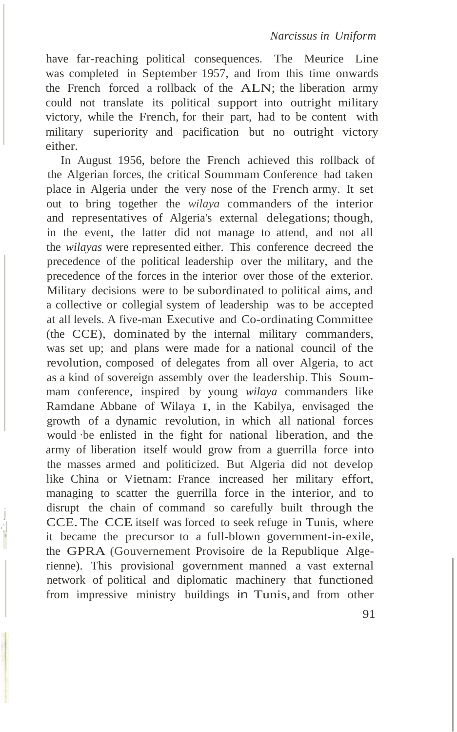have far-reaching political consequences. The Meurice Line was completed in September 1957, and from this time onwards the French forced a rollback of the ALN; the liberation army could not translate its political support into outright military victory, while the French, for their part, had to be content with military superiority and pacification but no outright victory either.

In August 1956, before the French achieved this rollback of the Algerian forces, the critical Soummam Conference had taken place in Algeria under the very nose of the French army. It set out to bring together the *wilaya* commanders of the interior and representatives of Algeria's external delegations; though, in the event, the latter did not manage to attend, and not all the *wilayas* were represented either. This conference decreed the precedence of the political leadership over the military, and the precedence of the forces in the interior over those of the exterior. Military decisions were to be subordinated to political aims, and a collective or collegial system of leadership was to be accepted at all levels. A five-man Executive and Co-ordinating Committee (the CCE), dominated by the internal military commanders, was set up; and plans were made for a national council of the revolution, composed of delegates from all over Algeria, to act as a kind of sovereign assembly over the leadership. This Soummam conference, inspired by young *wilaya* commanders like Ramdane Abbane of Wilaya I, in the Kabilya, envisaged the growth of a dynamic revolution, in which all national forces would ·be enlisted in the fight for national liberation, and the army of liberation itself would grow from a guerrilla force into the masses armed and politicized. But Algeria did not develop like China or Vietnam: France increased her military effort, managing to scatter the guerrilla force in the interior, and to disrupt the chain of command so carefully built through the CCE. The CCE itself was forced to seek refuge in Tunis, where it became the precursor to a full-blown government-in-exile, the GPRA (Gouvernement Provisoire de la Republique Algerienne). This provisional government manned a vast external network of political and diplomatic machinery that functioned from impressive ministry buildings in Tunis, and from other

j ·:I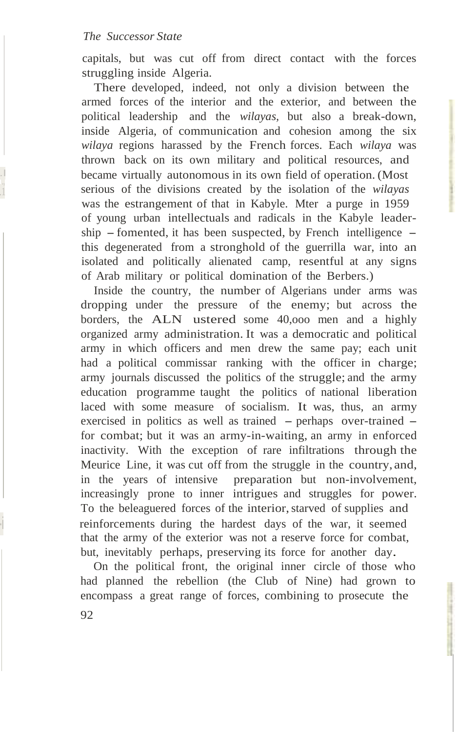capitals, but was cut off from direct contact with the forces struggling inside Algeria.

There developed, indeed, not only a division between the armed forces of the interior and the exterior, and between the political leadership and the *wilayas,* but also a break-down, inside Algeria, of communication and cohesion among the six *wilaya* regions harassed by the French forces. Each *wilaya* was thrown back on its own military and political resources, and became virtually autonomous in its own field of operation. (Most serious of the divisions created by the isolation of the *wilayas* was the estrangement of that in Kabyle. Mter a purge in 1959 of young urban intellectuals and radicals in the Kabyle leader $ship$  – fomented, it has been suspected, by French intelligence – this degenerated from a stronghold of the guerrilla war, into an isolated and politically alienated camp, resentful at any signs of Arab military or political domination of the Berbers.)

Inside the country, the number of Algerians under arms was dropping under the pressure of the enemy; but across the borders, the ALN ustered some 40,ooo men and a highly organized army administration. It was a democratic and political army in which officers and men drew the same pay; each unit had a political commissar ranking with the officer in charge; army journals discussed the politics of the struggle; and the army education programme taught the politics of national liberation laced with some measure of socialism. It was, thus, an army exercised in politics as well as trained - perhaps over-trained for combat; but it was an army-in-waiting, an army in enforced inactivity. With the exception of rare infiltrations through the Meurice Line, it was cut off from the struggle in the country, and, in the years of intensive preparation but non-involvement, increasingly prone to inner intrigues and struggles for power. To the beleaguered forces of the interior,starved of supplies and reinforcements during the hardest days of the war, it seemed that the army of the exterior was not a reserve force for combat, but, inevitably perhaps, preserving its force for another day.

On the political front, the original inner circle of those who had planned the rebellion (the Club of Nine) had grown to encompass a great range of forces, combining to prosecute the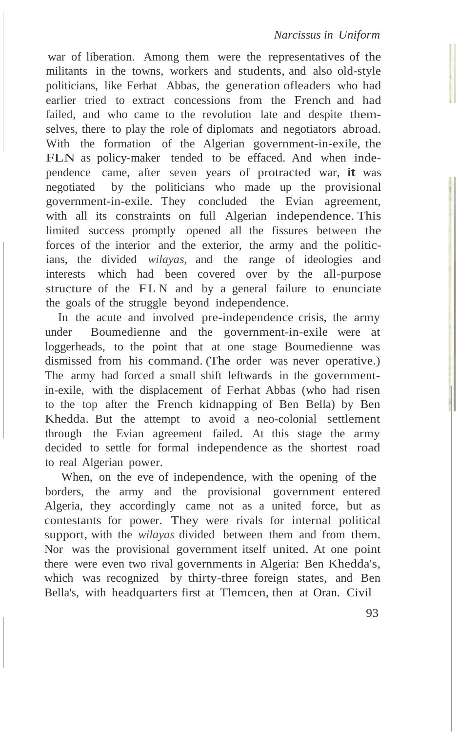war of liberation. Among them were the representatives of the militants in the towns, workers and students, and also old-style politicians, like Ferhat Abbas, the generation ofleaders who had earlier tried to extract concessions from the French and had failed, and who came to the revolution late and despite themselves, there to play the role of diplomats and negotiators abroad. With the formation of the Algerian government-in-exile, the FLN as policy-maker tended to be effaced. And when independence came, after seven years of protracted war, it was negotiated by the politicians who made up the provisional government-in-exile. They concluded the Evian agreement, with all its constraints on full Algerian independence. This limited success promptly opened all the fissures between the forces of the interior and the exterior, the army and the politicians, the divided *wilayas,* and the range of ideologies and interests which had been covered over by the all-purpose structure of the FL N and by a general failure to enunciate the goals of the struggle beyond independence.

In the acute and involved pre-independence crisis, the army under Boumedienne and the government-in-exile were at loggerheads, to the point that at one stage Boumedienne was dismissed from his command. (The order was never operative.) The army had forced a small shift leftwards in the governmentin-exile, with the displacement of Ferhat Abbas (who had risen to the top after the French kidnapping of Ben Bella) by Ben Khedda. But the attempt to avoid a neo-colonial settlement through the Evian agreement failed. At this stage the army decided to settle for formal independence as the shortest road to real Algerian power.

When, on the eve of independence, with the opening of the borders, the army and the provisional government entered Algeria, they accordingly came not as a united force, but as contestants for power. They were rivals for internal political support, with the *wilayas* divided between them and from them. Nor was the provisional government itself united. At one point there were even two rival governments in Algeria: Ben Khedda's, which was recognized by thirty-three foreign states, and Ben Bella's, with headquarters first at Tlemcen, then at Oran. Civil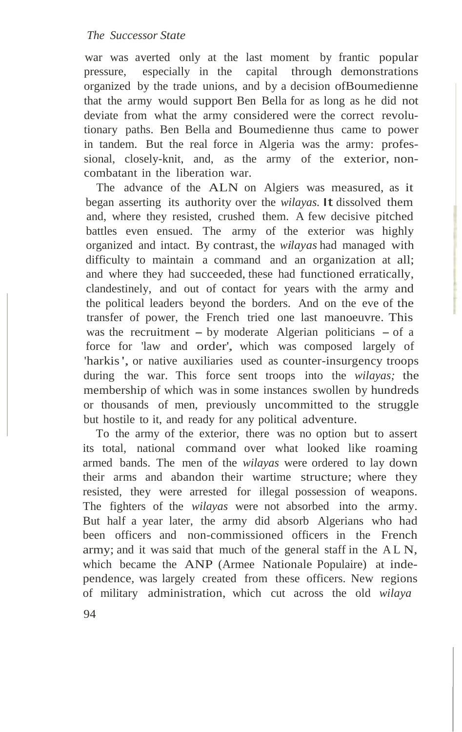war was averted only at the last moment by frantic popular pressure, especially in the capital through demonstrations organized by the trade unions, and by a decision ofBoumedienne that the army would support Ben Bella for as long as he did not deviate from what the army considered were the correct revolutionary paths. Ben Bella and Boumedienne thus came to power in tandem. But the real force in Algeria was the army: professional, closely-knit, and, as the army of the exterior, noncombatant in the liberation war.

The advance of the ALN on Algiers was measured, as it began asserting its authority over the *wilayas.* It dissolved them and, where they resisted, crushed them. A few decisive pitched battles even ensued. The army of the exterior was highly organized and intact. By contrast, the *wilayas* had managed with difficulty to maintain a command and an organization at all; and where they had succeeded, these had functioned erratically, clandestinely, and out of contact for years with the army and the political leaders beyond the borders. And on the eve of the transfer of power, the French tried one last manoeuvre. This was the recruitment  $-$  by moderate Algerian politicians  $-$  of a force for 'law and order', which was composed largely of 'harkis', or native auxiliaries used as counter-insurgency troops during the war. This force sent troops into the *wilayas;* the membership of which was in some instances swollen by hundreds or thousands of men, previously uncommitted to the struggle but hostile to it, and ready for any political adventure.

To the army of the exterior, there was no option but to assert its total, national command over what looked like roaming armed bands. The men of the *wilayas* were ordered to lay down their arms and abandon their wartime structure; where they resisted, they were arrested for illegal possession of weapons. The fighters of the *wilayas* were not absorbed into the army. But half a year later, the army did absorb Algerians who had been officers and non-commissioned officers in the French army; and it was said that much of the general staff in the A L N, which became the ANP (Armee Nationale Populaire) at independence, was largely created from these officers. New regions of military administration, which cut across the old *wilaya*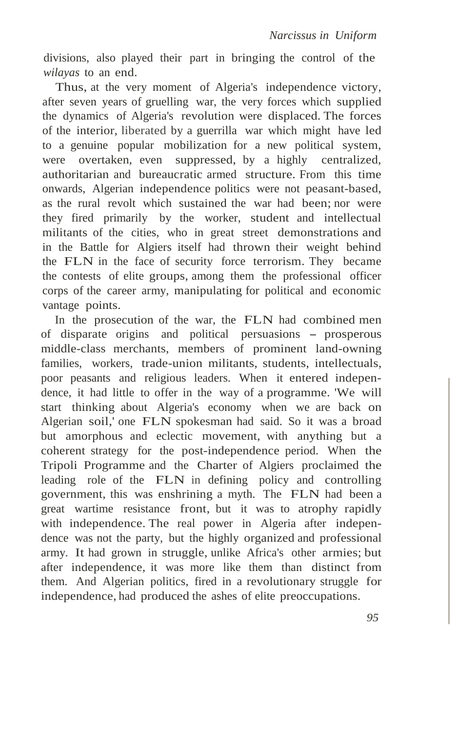divisions, also played their part in bringing the control of the *wilayas* to an end.

Thus, at the very moment of Algeria's independence victory, after seven years of gruelling war, the very forces which supplied the dynamics of Algeria's revolution were displaced. The forces of the interior, liberated by a guerrilla war which might have led to a genuine popular mobilization for a new political system, were overtaken, even suppressed, by a highly centralized, authoritarian and bureaucratic armed structure. From this time onwards, Algerian independence politics were not peasant-based, as the rural revolt which sustained the war had been; nor were they fired primarily by the worker, student and intellectual militants of the cities, who in great street demonstrations and in the Battle for Algiers itself had thrown their weight behind the FLN in the face of security force terrorism. They became the contests of elite groups, among them the professional officer corps of the career army, manipulating for political and economic vantage points.

In the prosecution of the war, the FLN had combined men of disparate origins and political persuasions - prosperous middle-class merchants, members of prominent land-owning families, workers, trade-union militants, students, intellectuals, poor peasants and religious leaders. When it entered independence, it had little to offer in the way of a programme. 'We will start thinking about Algeria's economy when we are back on Algerian soil,' one FLN spokesman had said. So it was a broad but amorphous and eclectic movement, with anything but a coherent strategy for the post-independence period. When the Tripoli Programme and the Charter of Algiers proclaimed the leading role of the FLN in defining policy and controlling government, this was enshrining a myth. The FLN had been a great wartime resistance front, but it was to atrophy rapidly with independence. The real power in Algeria after independence was not the party, but the highly organized and professional army. It had grown in struggle, unlike Africa's other armies; but after independence, it was more like them than distinct from them. And Algerian politics, fired in a revolutionary struggle for independence, had produced the ashes of elite preoccupations.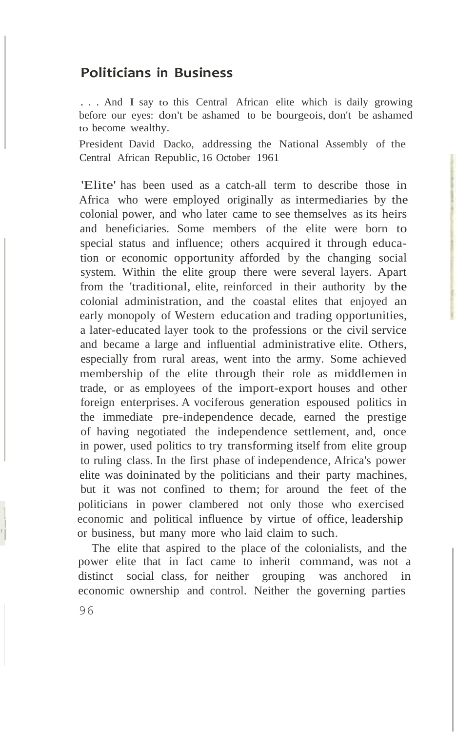# **Politicians in Business**

. . . And I say to this Central African elite which is daily growing before our eyes: don't be ashamed to be bourgeois, don't be ashamed to become wealthy.

President David Dacko, addressing the National Assembly of the Central African Republic, 16 October 1961

'Elite' has been used as a catch-all term to describe those in Africa who were employed originally as intermediaries by the colonial power, and who later came to see themselves as its heirs and beneficiaries. Some members of the elite were born to special status and influence; others acquired it through education or economic opportunity afforded by the changing social system. Within the elite group there were several layers. Apart from the 'traditional, elite, reinforced in their authority by the colonial administration, and the coastal elites that enjoyed an early monopoly of Western education and trading opportunities, a later-educated layer took to the professions or the civil service and became a large and influential administrative elite. Others, especially from rural areas, went into the army. Some achieved membership of the elite through their role as middlemen in trade, or as employees of the import-export houses and other foreign enterprises. A vociferous generation espoused politics in the immediate pre-independence decade, earned the prestige of having negotiated the independence settlement, and, once in power, used politics to try transforming itself from elite group to ruling class. In the first phase of independence, Africa's power elite was doininated by the politicians and their party machines, but it was not confined to them; for around the feet of the politicians in power clambered not only those who exercised 1 economic and political influence by virtue of office, leadership or business, but many more who laid claim to such.

The elite that aspired to the place of the colonialists, and the power elite that in fact came to inherit command, was not a distinct social class, for neither grouping was anchored in economic ownership and control. Neither the governing parties

96

I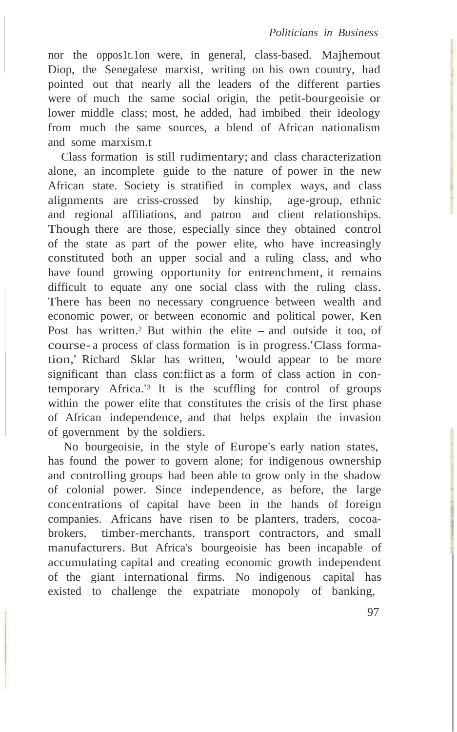nor the oppos1t.1on were, in general, class-based. Majhemout Diop, the Senegalese marxist, writing on his own country, had pointed out that nearly all the leaders of the different parties were of much the same social origin, the petit-bourgeoisie or lower middle class; most, he added, had imbibed their ideology from much the same sources, a blend of African nationalism and some marxism.t

Class formation is still rudimentary; and class characterization alone, an incomplete guide to the nature of power in the new African state. Society is stratified in complex ways, and class alignments are criss-crossed by kinship, age-group, ethnic and regional affiliations, and patron and client relationships. Though there are those, especially since they obtained control of the state as part of the power elite, who have increasingly constituted both an upper social and a ruling class, and who have found growing opportunity for entrenchment, it remains difficult to equate any one social class with the ruling class. There has been no necessary congruence between wealth and economic power, or between economic and political power, Ken economic power, or between economic and political power, **Ken**<br>Post has written.<sup>2</sup> But within the elite – and outside it too, of course- a process of class formation is in progress.'Class formation,' Richard Sklar has written, 'would appear to be more significant than class con:fiict as a form of class action in contemporary Africa.<sup>'3</sup> It is the scuffling for control of groups within the power elite that constitutes the crisis of the first phase of African independence, and that helps explain the invasion of government by the soldiers.

No bourgeoisie, in the style of Europe's early nation states, has found the power to govern alone; for indigenous ownership and controlling groups had been able to grow only in the shadow of colonial power. Since independence, as before, the large concentrations of capital have been in the hands of foreign companies. Africans have risen to be planters, traders, cocoabrokers, timber-merchants, transport contractors, and small manufacturers. But Africa's bourgeoisie has been incapable of accumulating capital and creating economic growth independent of the giant international firms. No indigenous capital has existed to challenge the expatriate monopoly of banking,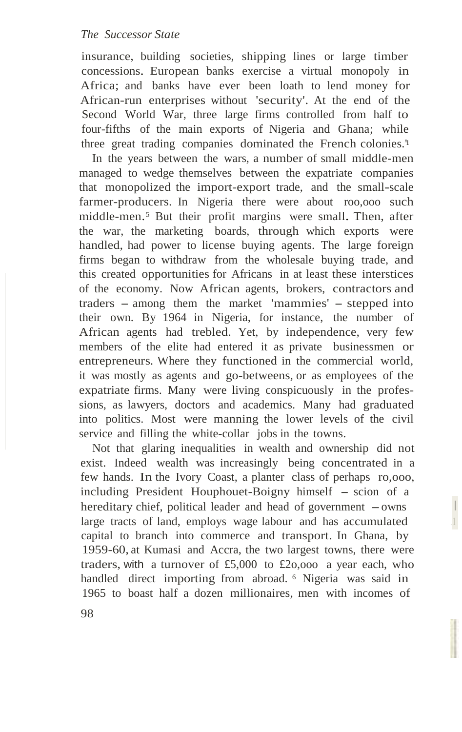insurance, building societies, shipping lines or large timber concessions. European banks exercise a virtual monopoly in Africa; and banks have ever been loath to lend money for African-run enterprises without 'security'. At the end of the Second World War, three large firms controlled from half to four-fifths of the main exports of Nigeria and Ghana; while three great trading companies dominated the French colonies.' 1

In the years between the wars, a number of small middle-men managed to wedge themselves between the expatriate companies that monopolized the import-export trade, and the small-scale farmer-producers. In Nigeria there were about roo,ooo such middle-men.<sup>5</sup> But their profit margins were small. Then, after the war, the marketing boards, through which exports were handled, had power to license buying agents. The large foreign firms began to withdraw from the wholesale buying trade, and this created opportunities for Africans in at least these interstices of the economy. Now African agents, brokers, contractors and traders - among them the market 'mammies' - stepped into their own. By 1964 in Nigeria, for instance, the number of African agents had trebled. Yet, by independence, very few members of the elite had entered it as private businessmen or entrepreneurs. Where they functioned in the commercial world, it was mostly as agents and go-betweens, or as employees of the expatriate firms. Many were living conspicuously in the professions, as lawyers, doctors and academics. Many had graduated into politics. Most were manning the lower levels of the civil service and filling the white-collar jobs in the towns.

Not that glaring inequalities in wealth and ownership did not exist. Indeed wealth was increasingly being concentrated in a few hands. In the Ivory Coast, a planter class of perhaps ro,ooo, including President Houphouet-Boigny himself – scion of a hereditary chief, political leader and head of government  $-\text{o}$ wns large tracts of land, employs wage labour and has accumulated capital to branch into commerce and transport. In Ghana, by 1959-60, at Kumasi and Accra, the two largest towns, there were traders, with a turnover of £5,000 to £2o,ooo a year each, who handled direct importing from abroad. <sup>6</sup> Nigeria was said in 1965 to boast half a dozen millionaires, men with incomes of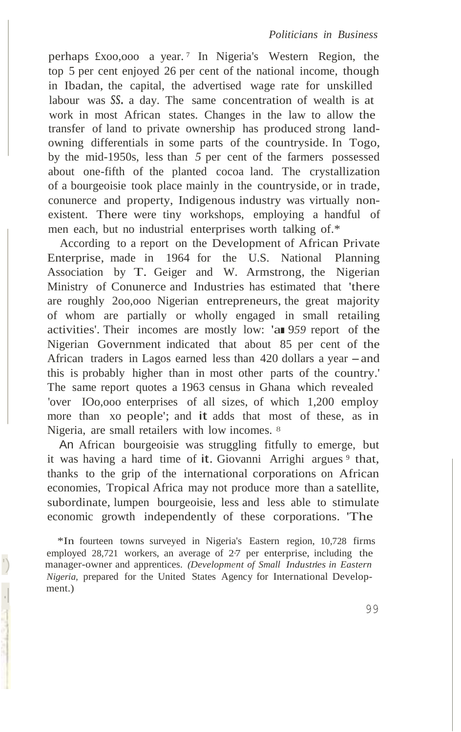perhaps  $\text{\pounds}xoo,ooo$  a year. <sup>7</sup> In Nigeria's Western Region, the top 5 per cent enjoyed 26 per cent of the national income, though in Ibadan, the capital, the advertised wage rate for unskilled labour was *ss.* a day. The same concentration of wealth is at work in most African states. Changes in the law to allow the transfer of land to private ownership has produced strong landowning differentials in some parts of the countryside. In Togo, by the mid-1950s, less than *5* per cent of the farmers possessed about one-fifth of the planted cocoa land. The crystallization of a bourgeoisie took place mainly in the countryside, or in trade, conunerce and property, Indigenous industry was virtually nonexistent. There were tiny workshops, employing a handful of men each, but no industrial enterprises worth talking of.\*

According to a report on the Development of African Private Enterprise, made in 1964 for the U.S. National Planning Association by T. Geiger and W. Armstrong, the Nigerian Ministry of Conunerce and Industries has estimated that 'there are roughly 2oo,ooo Nigerian entrepreneurs, the great majority of whom are partially or wholly engaged in small retailing activities'. Their incomes are mostly low: 'aI<sup>9</sup>*<sup>59</sup>* report of the Nigerian Government indicated that about 85 per cent of the African traders in Lagos earned less than 420 dollars a year - and this is probably higher than in most other parts of the country.' The same report quotes a 1963 census in Ghana which revealed 'over IOo,ooo enterprises of all sizes, of which 1,200 employ more than xo people'; and it adds that most of these, as in Nigeria, are small retailers with low incomes. 8

An African bourgeoisie was struggling fitfully to emerge, but it was having a hard time of it. Giovanni Arrighi argues <sup>9</sup> that, thanks to the grip of the international corporations on African economies, Tropical Africa may not produce more than a satellite, subordinate, lumpen bourgeoisie, less and less able to stimulate economic growth independently of these corporations. 'The

<sup>\*</sup>In fourteen towns surveyed in Nigeria's Eastern region, 10,728 firms employed 28,721 workers, an average of 2·7 per enterprise, including the ') manager-owner and apprentices. *(Development of Small Industn'es in Eastern Nigeria,* prepared for the United States Agency for International Develop ment.)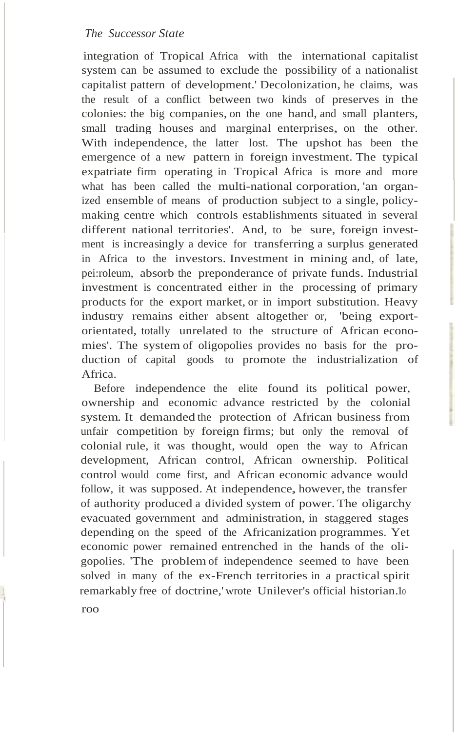integration of Tropical Africa with the international capitalist system can be assumed to exclude the possibility of a nationalist capitalist pattern of development.' Decolonization, he claims, was the result of a conflict between two kinds of preserves in the colonies: the big companies, on the one hand, and small planters, small trading houses and marginal enterprises, on the other. With independence, the latter lost. The upshot has been the emergence of a new pattern in foreign investment. The typical expatriate firm operating in Tropical Africa is more and more what has been called the multi-national corporation, 'an organized ensemble of means of production subject to a single, policymaking centre which controls establishments situated in several different national territories'. And, to be sure, foreign investment is increasingly a device for transferring a surplus generated in Africa to the investors. Investment in mining and, of late, pei:roleum, absorb the preponderance of private funds. Industrial investment is concentrated either in the processing of primary products for the export market, or in import substitution. Heavy industry remains either absent altogether or, 'being exportorientated, totally unrelated to the structure of African economies'. The system of oligopolies provides no basis for the production of capital goods to promote the industrialization of Africa.

Before independence the elite found its political power, ownership and economic advance restricted by the colonial system. It demanded the protection of African business from unfair competition by foreign firms; but only the removal of colonial rule, it was thought, would open the way to African development, African control, African ownership. Political control would come first, and African economic advance would follow, it was supposed. At independence, however, the transfer of authority produced a divided system of power. The oligarchy evacuated government and administration, in staggered stages depending on the speed of the Africanization programmes. Yet economic power remained entrenched in the hands of the oligopolies. 'The problem of independence seemed to have been solved in many of the ex-French territories in a practical spirit .1 remarkably free of doctrine,' wrote Unilever's official historian.1o

roo

I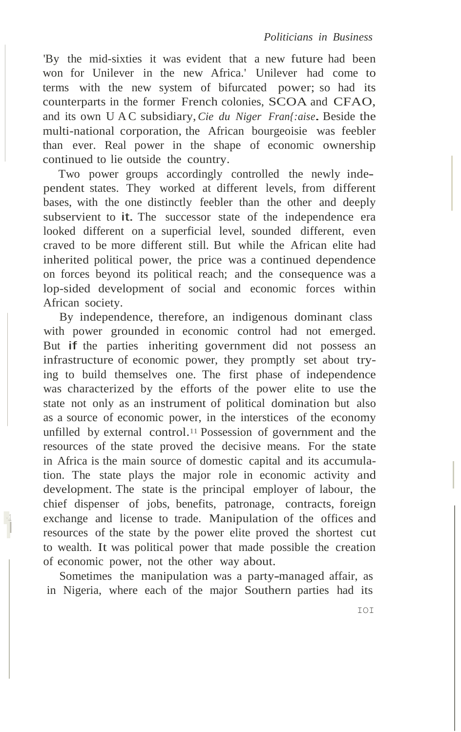'By the mid-sixties it was evident that a new future had been won for Unilever in the new Africa.' Unilever had come to terms with the new system of bifurcated power; so had its counterparts in the former French colonies, SCOA and CFAO, and its own <sup>U</sup> <sup>A</sup> <sup>C</sup> subsidiary,*Cie du Niger Fran{:aise.*Beside the multi-national corporation, the African bourgeoisie was feebler than ever. Real power in the shape of economic ownership continued to lie outside the country.

Two power groups accordingly controlled the newly independent states. They worked at different levels, from different bases, with the one distinctly feebler than the other and deeply subservient to it. The successor state of the independence era looked different on a superficial level, sounded different, even craved to be more different still. But while the African elite had inherited political power, the price was a continued dependence on forces beyond its political reach; and the consequence was a lop-sided development of social and economic forces within African society.

By independence, therefore, an indigenous dominant class with power grounded in economic control had not emerged. But if the parties inheriting government did not possess an infrastructure of economic power, they promptly set about trying to build themselves one. The first phase of independence was characterized by the efforts of the power elite to use the state not only as an instrument of political domination but also as a source of economic power, in the interstices of the economy unfilled by external control. <sup>11</sup> Possession of government and the resources of the state proved the decisive means. For the state in Africa is the main source of domestic capital and its accumulation. The state plays the major role in economic activity and development. The state is the principal employer of labour, the chief dispenser of jobs, benefits, patronage, contracts, foreign exchange and license to trade. Manipulation of the offices and resources of the state by the power elite proved the shortest cut to wealth. It was political power that made possible the creation of economic power, not the other way about.

Sometimes the manipulation was a party-managed affair, as in Nigeria, where each of the major Southern parties had its

l

**TOT**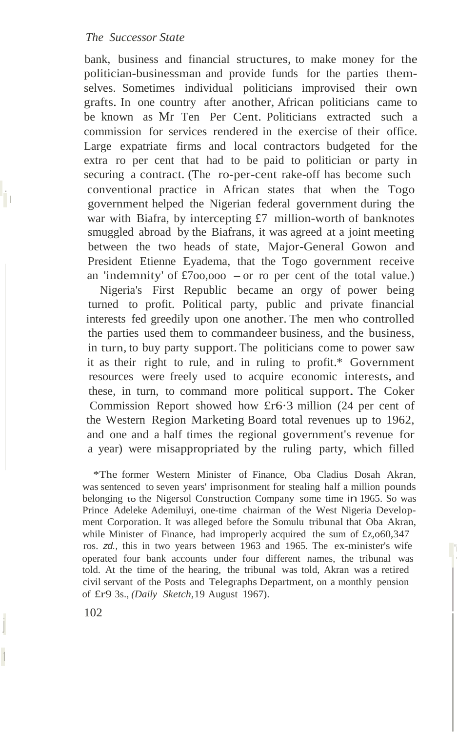bank, business and financial structures, to make money for the politician-businessman and provide funds for the parties themselves. Sometimes individual politicians improvised their own grafts. In one country after another, African politicians came to be known as Mr Ten Per Cent. Politicians extracted such a commission for services rendered in the exercise of their office. Large expatriate firms and local contractors budgeted for the extra ro per cent that had to be paid to politician or party in securing a contract. (The ro-per-cent rake-off has become such . conventional practice in African states that when the Togo government helped the Nigerian federal government during the war with Biafra, by intercepting £7 million-worth of banknotes smuggled abroad by the Biafrans, it was agreed at a joint meeting between the two heads of state, Major-General Gowon and President Etienne Eyadema, that the Togo government receive an 'indemnity' of  $£700,000 -$  or ro per cent of the total value.)

Nigeria's First Republic became an orgy of power being turned to profit. Political party, public and private financial interests fed greedily upon one another. The men who controlled the parties used them to commandeer business, and the business, in turn, to buy party support. The politicians come to power saw it as their right to rule, and in ruling to profit.\* Government resources were freely used to acquire economic interests, and these, in turn, to command more political support. The Coker Commission Report showed how £r6·3 million (24 per cent of the Western Region Marketing Board total revenues up to 1962, and one and a half times the regional government's revenue for a year) were misappropriated by the ruling party, which filled

\*The former Western Minister of Finance, Oba Cladius Dosah Akran, was sentenced to seven years' imprisonment for stealing half a million pounds belonging to the Nigersol Construction Company some time in 1965. So was Prince Adeleke Ademiluyi, one-time chairman of the West Nigeria Development Corporation. It was alleged before the Somulu tribunal that Oba Akran, while Minister of Finance, had improperly acquired the sum of £z,060,347 ros. *zd.*, this in two years between 1963 and 1965. The ex-minister's wife operated four bank accounts under four different names, the tribunal was ' told. At the time of the hearing, the tribunal was told, Akran was a retired civil servant of the Posts and Telegraphs Department, on a monthly pension of £r9 3s., *(Daily Sketch,*19 August 1967).

102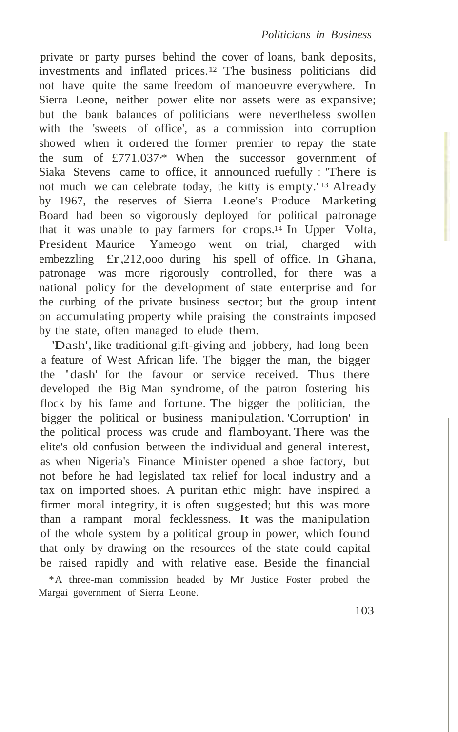#### *Politicians in Business*

private or party purses behind the cover of loans, bank deposits, investments and inflated prices. 12 The business politicians did not have quite the same freedom of manoeuvre everywhere. In Sierra Leone, neither power elite nor assets were as expansive; but the bank balances of politicians were nevertheless swollen with the 'sweets of office', as a commission into corruption showed when it ordered the former premier to repay the state the sum of  $£771,037*$  When the successor government of Siaka Stevens came to office, it announced ruefully : 'There is not much we can celebrate today, the kitty is empty.<sup>'13</sup> Already by 1967, the reserves of Sierra Leone's Produce Marketing Board had been so vigorously deployed for political patronage that it was unable to pay farmers for crops. <sup>14</sup> In Upper Volta, President Maurice Yameogo went on trial, charged with embezzling £r,212,ooo during his spell of office. In Ghana, patronage was more rigorously controlled, for there was a national policy for the development of state enterprise and for the curbing of the private business sector; but the group intent on accumulating property while praising the constraints imposed by the state, often managed to elude them.

'Dash', like traditional gift-giving and jobbery, had long been a feature of West African life. The bigger the man, the bigger the 'dash' for the favour or service received. Thus there developed the Big Man syndrome, of the patron fostering his flock by his fame and fortune. The bigger the politician, the bigger the political or business manipulation. 'Corruption' in the political process was crude and flamboyant. There was the elite's old confusion between the individual and general interest, as when Nigeria's Finance Minister opened a shoe factory, but not before he had legislated tax relief for local industry and a tax on imported shoes. A puritan ethic might have inspired a firmer moral integrity, it is often suggested; but this was more than a rampant moral fecklessness. It was the manipulation of the whole system by a political group in power, which found that only by drawing on the resources of the state could capital be raised rapidly and with relative ease. Beside the financial

\*A three-man commission headed by Mr Justice Foster probed the Margai government of Sierra Leone.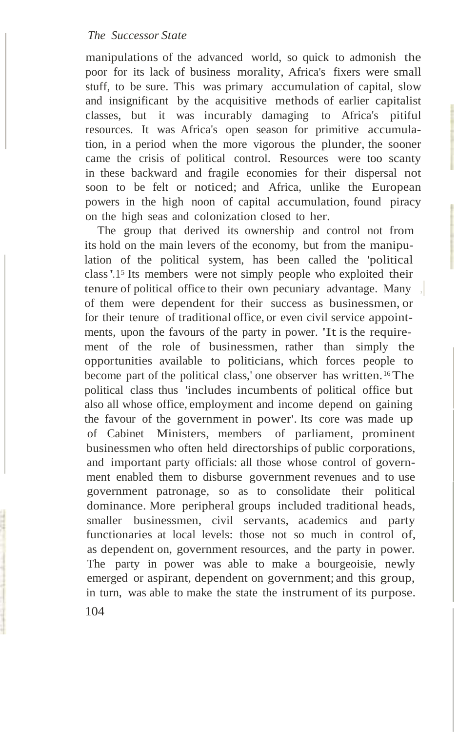manipulations of the advanced world, so quick to admonish the poor for its lack of business morality, Africa's fixers were small stuff, to be sure. This was primary accumulation of capital, slow and insignificant by the acquisitive methods of earlier capitalist classes, but it was incurably damaging to Africa's pitiful resources. It was Africa's open season for primitive accumulation, in a period when the more vigorous the plunder, the sooner came the crisis of political control. Resources were too scanty in these backward and fragile economies for their dispersal not soon to be felt or noticed; and Africa, unlike the European powers in the high noon of capital accumulation, found piracy on the high seas and colonization closed to her.

The group that derived its ownership and control not from its hold on the main levers of the economy, but from the manipulation of the political system, has been called the 'political class'.1 5 Its members were not simply people who exploited their tenure of political office to their own pecuniary advantage. Many , of them were dependent for their success as businessmen, or for their tenure of traditional office, or even civil service appointments, upon the favours of the party in power. 'It is the requirement of the role of businessmen, rather than simply the opportunities available to politicians, which forces people to become part of the political class,' one observer has written.<sup>16</sup>The political class thus 'includes incumbents of political office but also all whose office, employment and income depend on gaining the favour of the government in power'. Its core was made up of Cabinet Ministers, members of parliament, prominent businessmen who often held directorships of public corporations, and important party officials: all those whose control of government enabled them to disburse government revenues and to use government patronage, so as to consolidate their political dominance. More peripheral groups included traditional heads, smaller businessmen, civil servants, academics and party functionaries at local levels: those not so much in control of, as dependent on, government resources, and the party in power. The party in power was able to make a bourgeoisie, newly emerged or aspirant, dependent on government; and this group, in turn, was able to make the state the instrument of its purpose.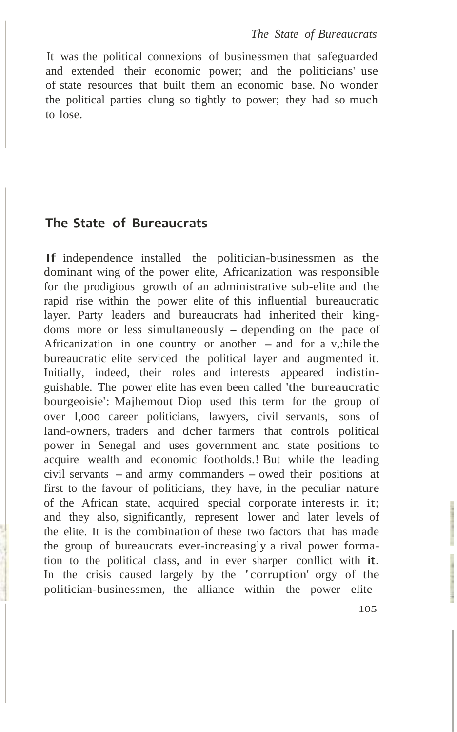It was the political connexions of businessmen that safeguarded and extended their economic power; and the politicians' use of state resources that built them an economic base. No wonder the political parties clung so tightly to power; they had so much to lose.

# **The State of Bureaucrats**

If independence installed the politician-businessmen as the dominant wing of the power elite, Africanization was responsible for the prodigious growth of an administrative sub-elite and the rapid rise within the power elite of this influential bureaucratic layer. Party leaders and bureaucrats had inherited their kingdoms more or less simultaneously - depending on the pace of Africanization in one country or another  $-$  and for a v,:hile the bureaucratic elite serviced the political layer and augmented it. Initially, indeed, their roles and interests appeared indistinguishable. The power elite has even been called 'the bureaucratic bourgeoisie': Majhemout Diop used this term for the group of over I,ooo career politicians, lawyers, civil servants, sons of land-owners, traders and dcher farmers that controls political power in Senegal and uses government and state positions to acquire wealth and economic footholds.! But while the leading civil servants - and army commanders - owed their positions at first to the favour of politicians, they have, in the peculiar nature of the African state, acquired special corporate interests in it; and they also, significantly, represent lower and later levels of the elite. It is the combination of these two factors that has made the group of bureaucrats ever-increasingly a rival power formation to the political class, and in ever sharper conflict with it. In the crisis caused largely by the 'corruption' orgy of the politician-businessmen, the alliance within the power elite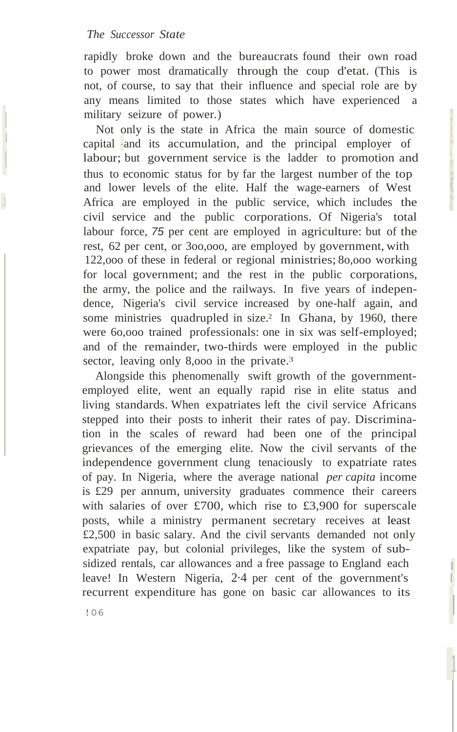I

I

rapidly broke down and the bureaucrats found their own road to power most dramatically through the coup d'etat. (This is not, of course, to say that their influence and special role are by any means limited to those states which have experienced a military seizure of power.)

Not only is the state in Africa the main source of domestic capital -and its accumulation, and the principal employer of labour; but government service is the ladder to promotion and thus to economic status for by far the largest number of the top and lower levels of the elite. Half the wage-earners of West Africa are employed in the public service, which includes the civil service and the public corporations. Of Nigeria's total labour force, *75* per cent are employed in agriculture: but of the rest, 62 per cent, or 3oo,ooo, are employed by government, with 122,ooo of these in federal or regional ministries; 8o,ooo working for local government; and the rest in the public corporations, the army, the police and the railways. In five years of independence, Nigeria's civil service increased by one-half again, and some ministries quadrupled in size.<sup>2</sup> In Ghana, by 1960, there were 6o,ooo trained professionals: one in six was self-employed; and of the remainder, two-thirds were employed in the public sector, leaving only 8,000 in the private.<sup>3</sup>

Alongside this phenomenally swift growth of the governmentemployed elite, went an equally rapid rise in elite status and living standards. When expatriates left the civil service Africans stepped into their posts to inherit their rates of pay. Discrimination in the scales of reward had been one of the principal grievances of the emerging elite. Now the civil servants of the independence government clung tenaciously to expatriate rates of pay. In Nigeria, where the average national *per capita* income is £29 per annum, university graduates commence their careers with salaries of over £700, which rise to £3,900 for superscale posts, while a ministry permanent secretary receives at least £2,500 in basic salary. And the civil servants demanded not only expatriate pay, but colonial privileges, like the system of subsidized rentals, car allowances and a free passage to England each leave! In Western Nigeria, 2.4 per cent of the government's recurrent expenditure has gone on basic car allowances to its

I

1

!06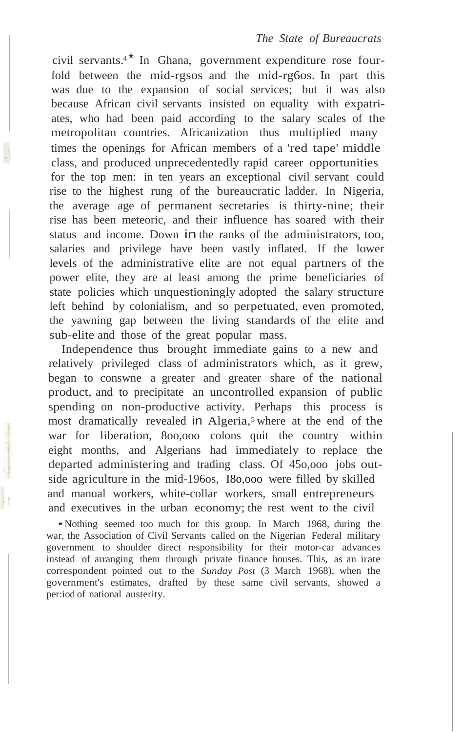civil servants. <sup>4</sup> \* In Ghana, government expenditure rose fourfold between the mid-rgsos and the mid-rg6os. In part this was due to the expansion of social services; but it was also because African civil servants insisted on equality with expatriates, who had been paid according to the salary scales of the metropolitan countries. Africanization thus multiplied many times the openings for African members of a 'red tape' middle class, and produced unprecedentedly rapid career opportunities for the top men: in ten years an exceptional civil servant could rise to the highest rung of the bureaucratic ladder. In Nigeria, the average age of permanent secretaries is thirty-nine; their rise has been meteoric, and their influence has soared with their status and income. Down in the ranks of the administrators, too, salaries and privilege have been vastly inflated. If the lower levels of the administrative elite are not equal partners of the power elite, they are at least among the prime beneficiaries of state policies which unquestioningly adopted the salary structure left behind by colonialism, and so perpetuated, even promoted, the yawning gap between the living standards of the elite and sub-elite and those of the great popular mass.

 $\bigg\}$ .

. '

Independence thus brought immediate gains to a new and relatively privileged class of administrators which, as it grew, began to conswne a greater and greater share of the national product, and to precipitate an uncontrolled expansion of public spending on non-productive activity. Perhaps this process is most dramatically revealed in Algeria, <sup>5</sup> where at the end of the war for liberation, 8oo,ooo colons quit the country within eight months, and Algerians had immediately to replace the departed administering and trading class. Of 45o,ooo jobs outside agriculture in the mid-196os, I8o,ooo were filled by skilled and manual workers, white-collar workers, small entrepreneurs and executives in the urban economy; the rest went to the civil

•Nothing seemed too much for this group. In March 1968, during the war, the Association of Civil Servants called on the Nigerian Federal military government to shoulder direct responsibility for their motor-car advances instead of arranging them through private finance houses. This, as an irate correspondent pointed out to the *Sunday Post* (3 March 1968), when the government's estimates, drafted by these same civil servants, showed a per:iod of national austerity.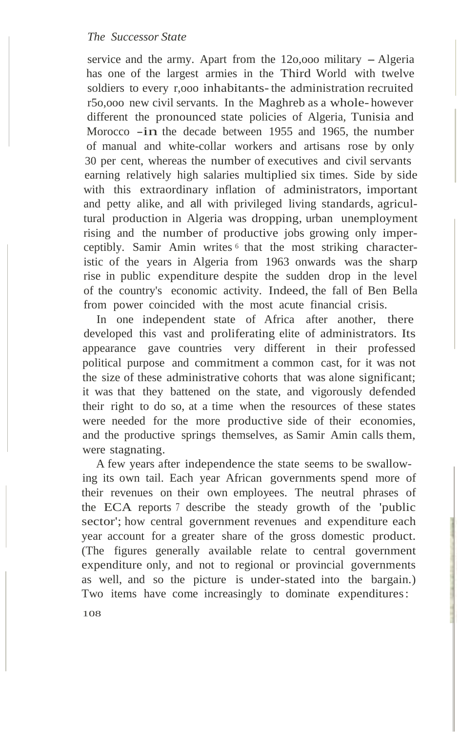service and the army. Apart from the  $120,000$  military  $-$  Algeria has one of the largest armies in the Third World with twelve soldiers to every r,ooo inhabitants-the administration recruited r5o,ooo new civil servants. In the Maghreb as a whole- however different the pronounced state policies of Algeria, Tunisia and Morocco -in the decade between 1955 and 1965, the number of manual and white-collar workers and artisans rose by only 30 per cent, whereas the number of executives and civil servants earning relatively high salaries multiplied six times. Side by side with this extraordinary inflation of administrators, important and petty alike, and all with privileged living standards, agricultural production in Algeria was dropping, urban unemployment rising and the number of productive jobs growing only imperceptibly. Samir Amin writes <sup>6</sup> that the most striking characteristic of the years in Algeria from 1963 onwards was the sharp rise in public expenditure despite the sudden drop in the level of the country's economic activity. Indeed, the fall of Ben Bella from power coincided with the most acute financial crisis.

In one independent state of Africa after another, there developed this vast and proliferating elite of administrators. Its appearance gave countries very different in their professed political purpose and commitment a common cast, for it was not the size of these administrative cohorts that was alone significant; it was that they battened on the state, and vigorously defended their right to do so, at a time when the resources of these states were needed for the more productive side of their economies, and the productive springs themselves, as Samir Amin calls them, were stagnating.

A few years after independence the state seems to be swallowing its own tail. Each year African governments spend more of their revenues on their own employees. The neutral phrases of the ECA reports 7 describe the steady growth of the 'public sector'; how central government revenues and expenditure each year account for a greater share of the gross domestic product. (The figures generally available relate to central government expenditure only, and not to regional or provincial governments as well, and so the picture is under-stated into the bargain.) Two items have come increasingly to dominate expenditures: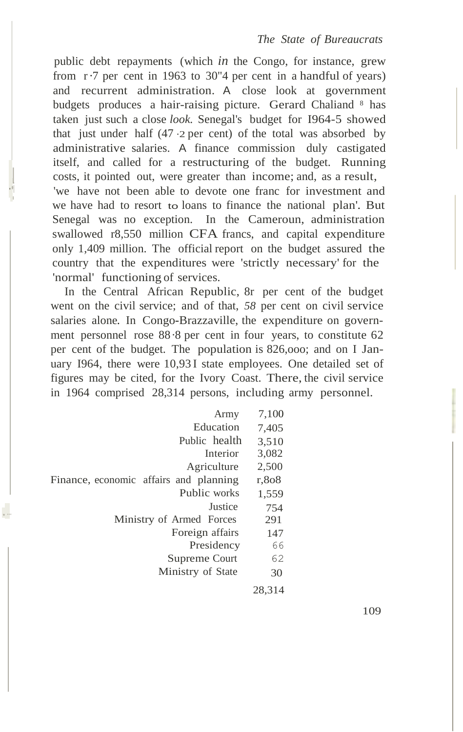public debt repayments (which *in* the Congo, for instance, grew from  $r \cdot 7$  per cent in 1963 to 30"4 per cent in a handful of years) and recurrent administration. A close look at government budgets produces a hair-raising picture. Gerard Chaliand 8 has taken just such a close *look.* Senegal's budget for I964-5 showed that just under half  $(47 \cdot 2 \text{ per cent})$  of the total was absorbed by administrative salaries. A finance commission duly castigated itself, and called for a restructuring of the budget. Running costs, it pointed out, were greater than income; and, as a result,

'we have not been able to devote one franc for investment and we have had to resort to loans to finance the national plan'. But Senegal was no exception. In the Cameroun, administration swallowed r8,550 million CFA francs, and capital expenditure only 1,409 million. The official report on the budget assured the country that the expenditures were 'strictly necessary' for the 'normal' functioning of services.

I ·•i I

,...

In the Central African Republic, 8r per cent of the budget went on the civil service; and of that, *58* per cent on civil service salaries alone. In Congo-Brazzaville, the expenditure on government personnel rose 88 ·8 per cent in four years, to constitute 62 per cent of the budget. The population is 826,ooo; and on I January 1964, there were 10,931 state employees. One detailed set of figures may be cited, for the Ivory Coast. There, the civil service in 1964 comprised 28,314 persons, including army personnel.

| Army                                   | 7,100  |
|----------------------------------------|--------|
| Education                              | 7,405  |
| Public health                          | 3,510  |
| Interior                               | 3,082  |
| Agriculture                            | 2,500  |
| Finance, economic affairs and planning | r,808  |
| Public works                           | 1,559  |
| Justice                                | 754    |
| Ministry of Armed Forces               | 291    |
| Foreign affairs                        | 147    |
| Presidency                             | 66     |
| Supreme Court                          | 62     |
| Ministry of State                      | 30     |
|                                        | 28,314 |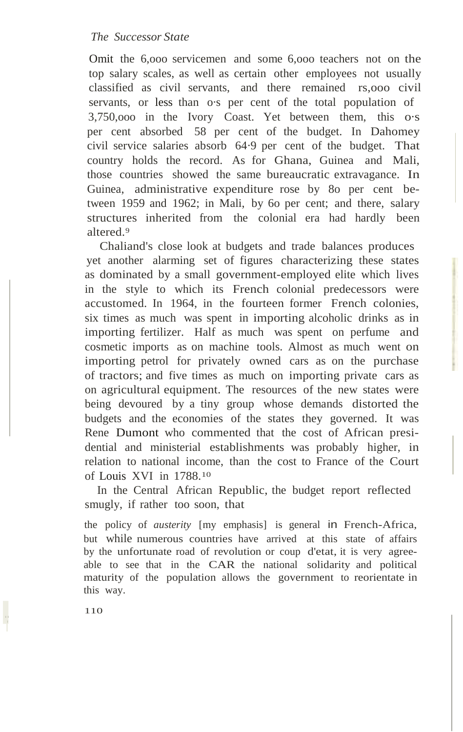Omit the 6,ooo servicemen and some 6,ooo teachers not on the top salary scales, as well as certain other employees not usually classified as civil servants, and there remained rs,ooo civil servants, or less than o·s per cent of the total population of 3,750,ooo in the Ivory Coast. Yet between them, this o·s per cent absorbed 58 per cent of the budget. In Dahomey civil service salaries absorb 64·9 per cent of the budget. That country holds the record. As for Ghana, Guinea and Mali, those countries showed the same bureaucratic extravagance. In Guinea, administrative expenditure rose by 8o per cent between 1959 and 1962; in Mali, by 6o per cent; and there, salary structures inherited from the colonial era had hardly been altered. 9

Chaliand's close look at budgets and trade balances produces yet another alarming set of figures characterizing these states as dominated by a small government-employed elite which lives in the style to which its French colonial predecessors were accustomed. In 1964, in the fourteen former French colonies, six times as much was spent in importing alcoholic drinks as in importing fertilizer. Half as much was spent on perfume and cosmetic imports as on machine tools. Almost as much went on importing petrol for privately owned cars as on the purchase of tractors; and five times as much on importing private cars as on agricultural equipment. The resources of the new states were being devoured by a tiny group whose demands distorted the budgets and the economies of the states they governed. It was Rene Dumont who commented that the cost of African presidential and ministerial establishments was probably higher, in relation to national income, than the cost to France of the Court of Louis XVI in 1788. 10

In the Central African Republic, the budget report reflected smugly, if rather too soon, that

the policy of *austerity* [my emphasis] is general in French-Africa, but while numerous countries have arrived at this state of affairs by the unfortunate road of revolution or coup d'etat, it is very agreeable to see that in the CAR the national solidarity and political maturity of the population allows the government to reorientate in this way.

110

..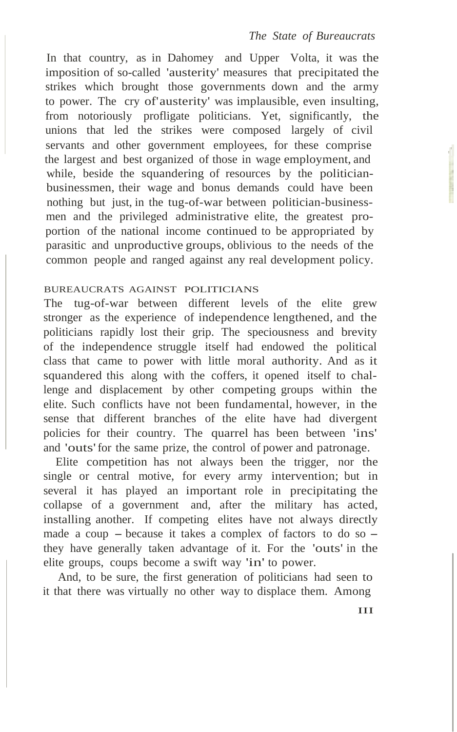#### *The State of Bureaucrats*

In that country, as in Dahomey and Upper Volta, it was the imposition of so-called 'austerity' measures that precipitated the strikes which brought those governments down and the army to power. The cry of'austerity' was implausible, even insulting, from notoriously profligate politicians. Yet, significantly, the unions that led the strikes were composed largely of civil servants and other government employees, for these comprise the largest and best organized of those in wage employment, and ' while, beside the squandering of resources by the politicianbusinessmen, their wage and bonus demands could have been nothing but just, in the tug-of-war between politician-businessmen and the privileged administrative elite, the greatest proportion of the national income continued to be appropriated by parasitic and unproductive groups, oblivious to the needs of the common people and ranged against any real development policy.

## BUREAUCRATS AGAINST POLITICIANS

The tug-of-war between different levels of the elite grew stronger as the experience of independence lengthened, and the politicians rapidly lost their grip. The speciousness and brevity of the independence struggle itself had endowed the political class that came to power with little moral authority. And as it squandered this along with the coffers, it opened itself to challenge and displacement by other competing groups within the elite. Such conflicts have not been fundamental, however, in the sense that different branches of the elite have had divergent policies for their country. The quarrel has been between 'ins' and 'outs'for the same prize, the control of power and patronage.

Elite competition has not always been the trigger, nor the single or central motive, for every army intervention; but in several it has played an important role in precipitating the collapse of a government and, after the military has acted, installing another. If competing elites have not always directly made a coup  $-$  because it takes a complex of factors to do so  $$ they have generally taken advantage of it. For the 'outs' in the elite groups, coups become a swift way 'in' to power.

And, to be sure, the first generation of politicians had seen to it that there was virtually no other way to displace them. Among

III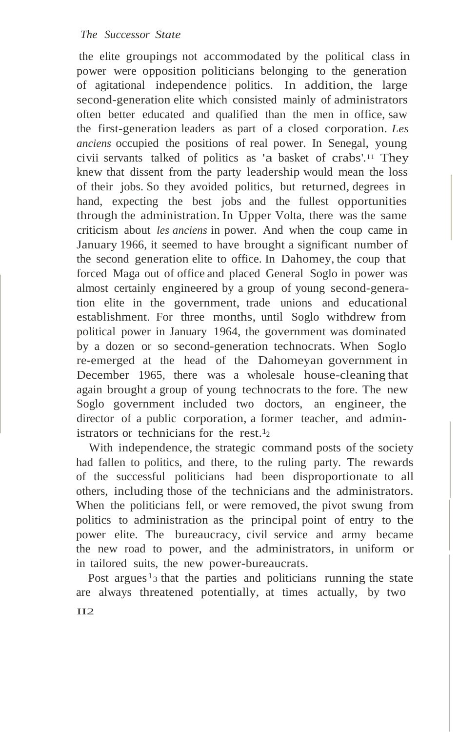the elite groupings not accommodated by the political class in power were opposition politicians belonging to the generation of agitational independence politics. In addition, the large second-generation elite which consisted mainly of administrators often better educated and qualified than the men in office, saw the first-generation leaders as part of a closed corporation. *Les anciens* occupied the positions of real power. In Senegal, young civii servants talked of politics as 'a basket of crabs'.<sup>11</sup> They knew that dissent from the party leadership would mean the loss of their jobs. So they avoided politics, but returned, degrees in hand, expecting the best jobs and the fullest opportunities through the administration. In Upper Volta, there was the same criticism about *les anciens* in power. And when the coup came in January 1966, it seemed to have brought a significant number of the second generation elite to office. In Dahomey, the coup that forced Maga out of office and placed General Soglo in power was almost certainly engineered by a group of young second-generation elite in the government, trade unions and educational establishment. For three months, until Soglo withdrew from political power in January 1964, the government was dominated by a dozen or so second-generation technocrats. When Soglo re-emerged at the head of the Dahomeyan government in December 1965, there was a wholesale house-cleaning that again brought a group of young technocrats to the fore. The new Soglo government included two doctors, an engineer, the director of a public corporation, a former teacher, and administrators or technicians for the rest.<sup>12</sup>

With independence, the strategic command posts of the society had fallen to politics, and there, to the ruling party. The rewards of the successful politicians had been disproportionate to all others, including those of the technicians and the administrators. When the politicians fell, or were removed, the pivot swung from politics to administration as the principal point of entry to the power elite. The bureaucracy, civil service and army became the new road to power, and the administrators, in uniform or in tailored suits, the new power-bureaucrats.

Post argues<sup>13</sup> that the parties and politicians running the state are always threatened potentially, at times actually, by two II2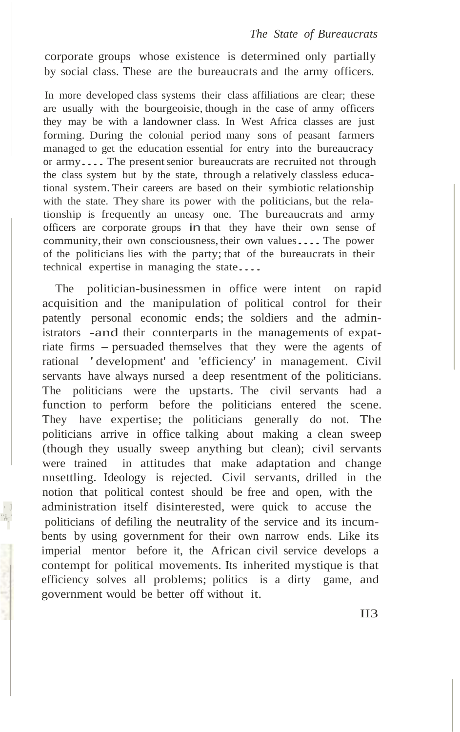corporate groups whose existence is determined only partially by social class. These are the bureaucrats and the army officers.

In more developed class systems their class affiliations are clear; these are usually with the bourgeoisie, though in the case of army officers they may be with a landowner class. In West Africa classes are just forming. During the colonial period many sons of peasant farmers managed to get the education essential for entry into the bureaucracy or army.... The present senior bureaucrats are recruited not through the class system but by the state, through a relatively classless educational system. Their careers are based on their symbiotic relationship with the state. They share its power with the politicians, but the relationship is frequently an uneasy one. The bureaucrats and army officers are corporate groups in that they have their own sense of community, their own consciousness, their own values.... The power of the politicians lies with the party; that of the bureaucrats in their technical expertise in managing the state....

The politician-businessmen in office were intent on rapid acquisition and the manipulation of political control for their patently personal economic ends; the soldiers and the administrators -and their connterparts in the managements of expatriate firms - persuaded themselves that they were the agents of rational ' development' and 'efficiency' in management. Civil servants have always nursed a deep resentment of the politicians. The politicians were the upstarts. The civil servants had a function to perform before the politicians entered the scene. They have expertise; the politicians generally do not. The politicians arrive in office talking about making a clean sweep (though they usually sweep anything but clean); civil servants were trained in attitudes that make adaptation and change nnsettling. Ideology is rejected. Civil servants, drilled in the notion that political contest should be free and open, with the administration itself disinterested, were quick to accuse the politicians of defiling the neutrality of the service and its incumbents by using government for their own narrow ends. Like its imperial mentor before it, the African civil service develops a contempt for political movements. Its inherited mystique is that efficiency solves all problems; politics is a dirty game, and government would be better off without it.

''i-'

II3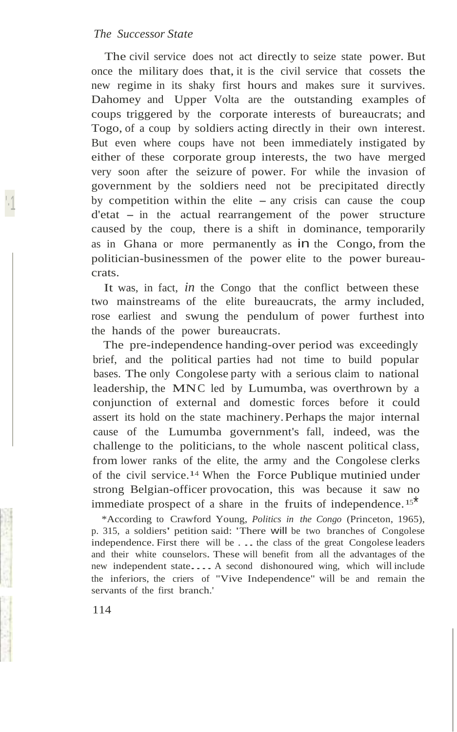The civil service does not act directly to seize state power. But once the military does that, it is the civil service that cossets the new regime in its shaky first hours and makes sure it survives. Dahomey and Upper Volta are the outstanding examples of coups triggered by the corporate interests of bureaucrats; and Togo, of a coup by soldiers acting directly in their own interest. But even where coups have not been immediately instigated by either of these corporate group interests, the two have merged very soon after the seizure of power. For while the invasion of government by the soldiers need not be precipitated directly by competition within the elite  $-$  any crisis can cause the coup  $d'$ etat  $-$  in the actual rearrangement of the power structure caused by the coup, there is a shift in dominance, temporarily as in Ghana or more permanently as in the Congo, from the politician-businessmen of the power elite to the power bureaucrats.

It was, in fact, *in* the Congo that the conflict between these two mainstreams of the elite bureaucrats, the army included, rose earliest and swung the pendulum of power furthest into the hands of the power bureaucrats.

The pre-independence handing-over period was exceedingly brief, and the political parties had not time to build popular bases. The only Congolese party with a serious claim to national leadership, the MNC led by Lumumba, was overthrown by a conjunction of external and domestic forces before it could assert its hold on the state machinery.Perhaps the major internal cause of the Lumumba government's fall, indeed, was the challenge to the politicians, to the whole nascent political class, from lower ranks of the elite, the army and the Congolese clerks of the civil service. 14 When the Force Publique mutinied under strong Belgian-officer provocation, this was because it saw no immediate prospect of a share in the fruits of independence.<sup>15\*</sup>

\*According to Crawford Young, *Politics in the Congo* (Princeton, 1965), p. 315, a soldiers' petition said: 'There will be two branches of Congolese independence. First there will be . .. the class of the great Congolese leaders and their white counselors. These will benefit from all the advantages of the new independent state.... <sup>A</sup> second dishonoured wing, which will include the inferiors, the criers of "Vive Independence" will be and remain the servants of the first branch.'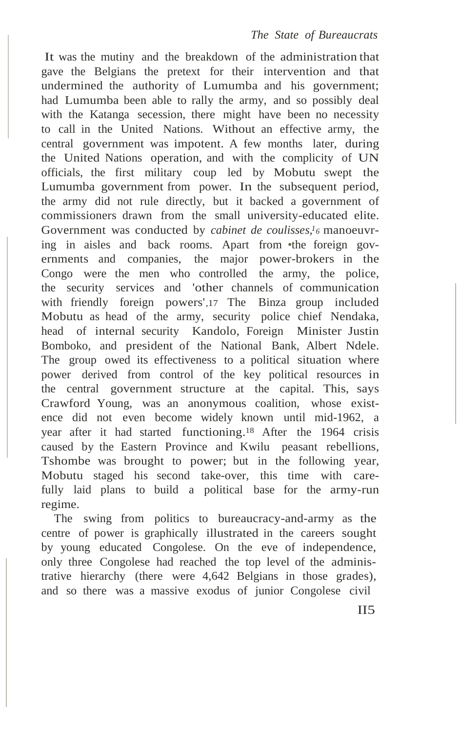It was the mutiny and the breakdown of the administration that gave the Belgians the pretext for their intervention and that undermined the authority of Lumumba and his government; had Lumumba been able to rally the army, and so possibly deal with the Katanga secession, there might have been no necessity to call in the United Nations. Without an effective army, the central government was impotent. A few months later, during the United Nations operation, and with the complicity of UN officials, the first military coup led by Mobutu swept the Lumumba government from power. In the subsequent period, the army did not rule directly, but it backed a government of commissioners drawn from the small university-educated elite. Government was conducted by *cabinet de coulisses*,<sup>16</sup> manoeuvring in aisles and back rooms. Apart from •the foreign governments and companies, the major power-brokers in the Congo were the men who controlled the army, the police, the security services and 'other channels of communication with friendly foreign powers',17 The Binza group included Mobutu as head of the army, security police chief Nendaka, head of internal security Kandolo, Foreign Minister Justin Bomboko, and president of the National Bank, Albert Ndele. The group owed its effectiveness to a political situation where power derived from control of the key political resources in the central government structure at the capital. This, says Crawford Young, was an anonymous coalition, whose existence did not even become widely known until mid-1962, a year after it had started functioning.<sup>18</sup> After the 1964 crisis caused by the Eastern Province and Kwilu peasant rebellions, Tshombe was brought to power; but in the following year, Mobutu staged his second take-over, this time with carefully laid plans to build a political base for the army-run regime.

The swing from politics to bureaucracy-and-army as the centre of power is graphically illustrated in the careers sought by young educated Congolese. On the eve of independence, only three Congolese had reached the top level of the administrative hierarchy (there were 4,642 Belgians in those grades), and so there was a massive exodus of junior Congolese civil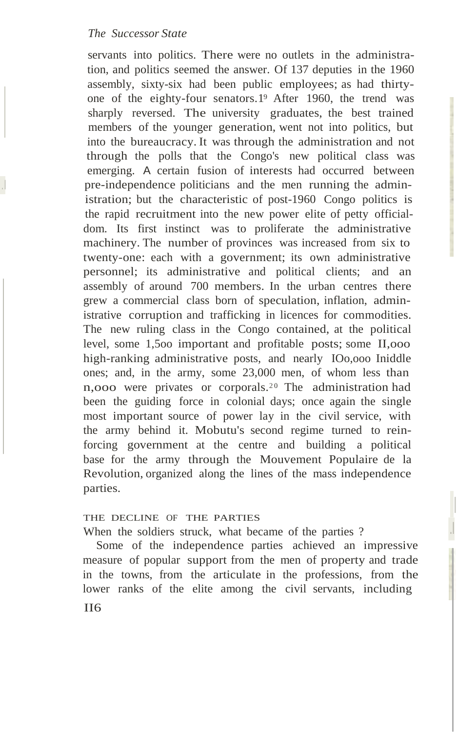servants into politics. There were no outlets in the administration, and politics seemed the answer. Of 137 deputies in the 1960 assembly, sixty-six had been public employees; as had thirtyone of the eighty-four senators.<sup>19</sup> After 1960, the trend was sharply reversed. The university graduates, the best trained members of the younger generation, went not into politics, but into the bureaucracy. It was through the administration and not through the polls that the Congo's new political class was emerging. A certain fusion of interests had occurred between pre-independence politicians and the men running the administration; but the characteristic of post-1960 Congo politics is the rapid recruitment into the new power elite of petty officialdom. Its first instinct was to proliferate the administrative machinery. The number of provinces was increased from six to twenty-one: each with a government; its own administrative personnel; its administrative and political clients; and an assembly of around 700 members. In the urban centres there grew a commercial class born of speculation, inflation, administrative corruption and trafficking in licences for commodities. The new ruling class in the Congo contained, at the political level, some 1,5oo important and profitable posts; some II,ooo high-ranking administrative posts, and nearly IOo,ooo Iniddle ones; and, in the army, some 23,000 men, of whom less than n,000 were privates or corporals.<sup>20</sup> The administration had been the guiding force in colonial days; once again the single most important source of power lay in the civil service, with the army behind it. Mobutu's second regime turned to reinforcing government at the centre and building a political base for the army through the Mouvement Populaire de la Revolution, organized along the lines of the mass independence parties.

# THE DECLINE OF THE PARTIES

When the soldiers struck, what became of the parties ?

Some of the independence parties achieved an impressive measure of popular support from the men of property and trade in the towns, from the articulate in the professions, from the lower ranks of the elite among the civil servants, including

I

II6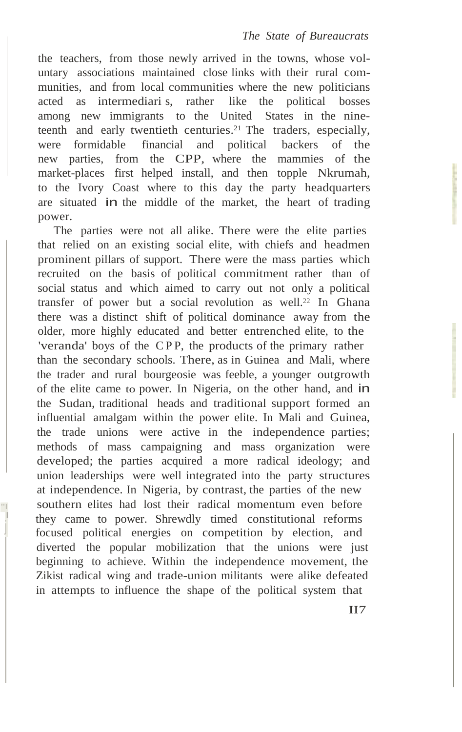the teachers, from those newly arrived in the towns, whose voluntary associations maintained close links with their rural communities, and from local communities where the new politicians acted as intermediari s, rather like the political bosses among new immigrants to the United States in the nineteenth and early twentieth centuries. <sup>21</sup> The traders, especially, were formidable financial and political backers of the new parties, from the CPP, where the mammies of the market-places first helped install, and then topple Nkrumah, to the Ivory Coast where to this day the party headquarters are situated in the middle of the market, the heart of trading power.

The parties were not all alike. There were the elite parties that relied on an existing social elite, with chiefs and headmen prominent pillars of support. There were the mass parties which recruited on the basis of political commitment rather than of social status and which aimed to carry out not only a political transfer of power but a social revolution as well.<sup>22</sup> In Ghana there was a distinct shift of political dominance away from the older, more highly educated and better entrenched elite, to the 'veranda' boys of the CP P, the products of the primary rather than the secondary schools. There, as in Guinea and Mali, where the trader and rural bourgeosie was feeble, a younger outgrowth of the elite came to power. In Nigeria, on the other hand, and in the Sudan, traditional heads and traditional support formed an influential amalgam within the power elite. In Mali and Guinea, the trade unions were active in the independence parties; methods of mass campaigning and mass organization were developed; the parties acquired a more radical ideology; and union leaderships were well integrated into the party structures at independence. In Nigeria, by contrast, the parties of the new southern elites had lost their radical momentum even before they came to power. Shrewdly timed constitutional reforms focused political energies on competition by election, and diverted the popular mobilization that the unions were just beginning to achieve. Within the independence movement, the Zikist radical wing and trade-union militants were alike defeated in attempts to influence the shape of the political system that

I

II7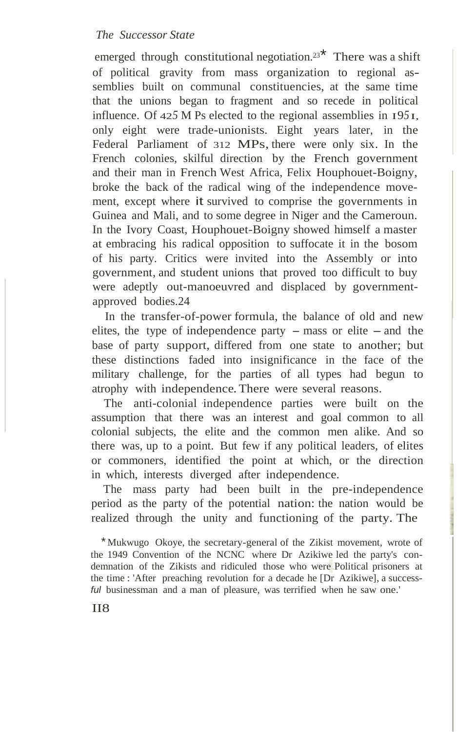emerged through constitutional negotiation.<sup>23\*</sup> There was a shift of political gravity from mass organization to regional assemblies built on communal constituencies, at the same time that the unions began to fragment and so recede in political influence. Of 42*5* M Ps elected to the regional assemblies in I9*5* I, only eight were trade-unionists. Eight years later, in the Federal Parliament of 312 MPs, there were only six. In the French colonies, skilful direction by the French government and their man in French West Africa, Felix Houphouet-Boigny, broke the back of the radical wing of the independence movement, except where it survived to comprise the governments in Guinea and Mali, and to some degree in Niger and the Cameroun. In the Ivory Coast, Houphouet-Boigny showed himself a master at embracing his radical opposition to suffocate it in the bosom of his party. Critics were invited into the Assembly or into government, and student unions that proved too difficult to buy were adeptly out-manoeuvred and displaced by governmentapproved bodies.24

In the transfer-of-power formula, the balance of old and new elites, the type of independence party  $-$  mass or elite  $-$  and the base of party support, differed from one state to another; but these distinctions faded into insignificance in the face of the military challenge, for the parties of all types had begun to atrophy with independence. There were several reasons.

The anti-colonial independence parties were built on the assumption that there was an interest and goal common to all colonial subjects, the elite and the common men alike. And so there was, up to a point. But few if any political leaders, of elites or commoners, identified the point at which, or the direction in which, interests diverged after independence.

The mass party had been built in the pre-independence period as the party of the potential nation: the nation would be realized through the unity and functioning of the party. The

\* Mukwugo Okoye, the secretary-general of the Zikist movement, wrote of the 1949 Convention of the NCNC where Dr Azikiwe led the party's condemnation of the Zikists and ridiculed those who were.Political prisoners at the time : 'After preaching revolution for a decade he [Dr Azikiwe], a success*ful* businessman and a man of pleasure, was terrified when he saw one.'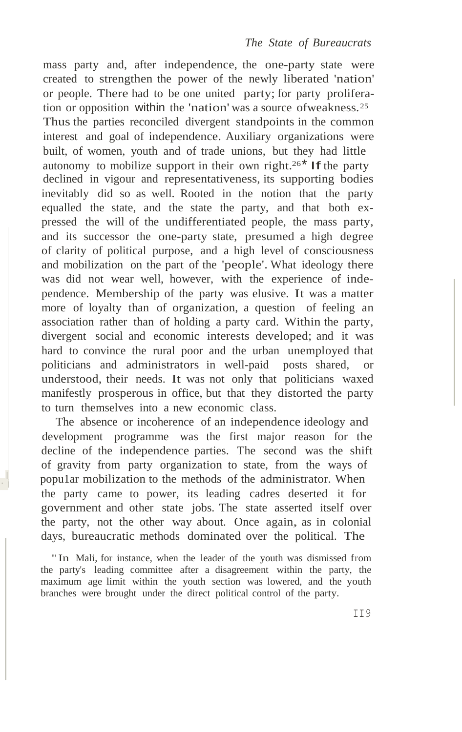mass party and, after independence, the one-party state were created to strengthen the power of the newly liberated 'nation' or people. There had to be one united party; for party proliferation or opposition within the 'nation' was a source ofweakness.<sup>25</sup> Thus the parties reconciled divergent standpoints in the common interest and goal of independence. Auxiliary organizations were built, of women, youth and of trade unions, but they had little autonomy to mobilize support in their own right.<sup>26\*</sup> If the party declined in vigour and representativeness, its supporting bodies inevitably did so as well. Rooted in the notion that the party equalled the state, and the state the party, and that both expressed the will of the undifferentiated people, the mass party, and its successor the one-party state, presumed a high degree of clarity of political purpose, and a high level of consciousness and mobilization on the part of the 'people'. What ideology there was did not wear well, however, with the experience of independence. Membership of the party was elusive. It was a matter more of loyalty than of organization, a question of feeling an association rather than of holding a party card. Within the party, divergent social and economic interests developed; and it was hard to convince the rural poor and the urban unemployed that politicians and administrators in well-paid posts shared, or understood, their needs. It was not only that politicians waxed manifestly prosperous in office, but that they distorted the party to turn themselves into a new economic class.

The absence or incoherence of an independence ideology and development programme was the first major reason for the decline of the independence parties. The second was the shift of gravity from party organization to state, from the ways of popu1ar mobilization to the methods of the administrator. When the party came to power, its leading cadres deserted it for government and other state jobs. The state asserted itself over the party, not the other way about. Once again, as in colonial days, bureaucratic methods dominated over the political. The

·

"' In Mali, for instance, when the leader of the youth was dismissed from the party's leading committee after a disagreement within the party, the maximum age limit within the youth section was lowered, and the youth branches were brought under the direct political control of the party.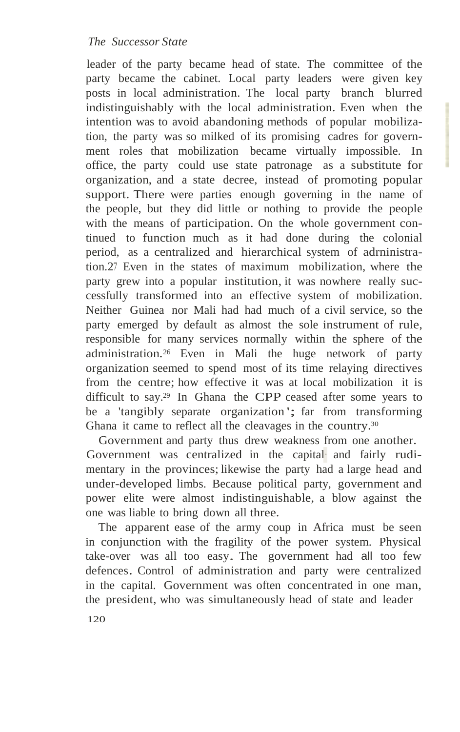leader of the party became head of state. The committee of the party became the cabinet. Local party leaders were given key posts in local administration. The local party branch blurred indistinguishably with the local administration. Even when the intention was to avoid abandoning methods of popular mobilization, the party was so milked of its promising cadres for government roles that mobilization became virtually impossible. In office, the party could use state patronage as a substitute for organization, and a state decree, instead of promoting popular support. There were parties enough governing in the name of the people, but they did little or nothing to provide the people with the means of participation. On the whole government continued to function much as it had done during the colonial period, as a centralized and hierarchical system of adrninistration.27 Even in the states of maximum mobilization, where the party grew into a popular institution, it was nowhere really successfully transformed into an effective system of mobilization. Neither Guinea nor Mali had had much of a civil service, so the party emerged by default as almost the sole instrument of rule, responsible for many services normally within the sphere of the administration. <sup>26</sup> Even in Mali the huge network of party organization seemed to spend most of its time relaying directives from the centre; how effective it was at local mobilization it is difficult to say.<sup>29</sup> In Ghana the CPP ceased after some years to be a 'tangibly separate organization'; far from transforming Ghana it came to reflect all the cleavages in the country.<sup>30</sup>

Government and party thus drew weakness from one another. Government was centralized in the capital· and fairly rudimentary in the provinces; likewise the party had a large head and under-developed limbs. Because political party, government and power elite were almost indistinguishable, a blow against the one was liable to bring down all three.

The apparent ease of the army coup in Africa must be seen in conjunction with the fragility of the power system. Physical take-over was all too easy. The government had all too few defences. Control of administration and party were centralized in the capital. Government was often concentrated in one man, the president, who was simultaneously head of state and leader